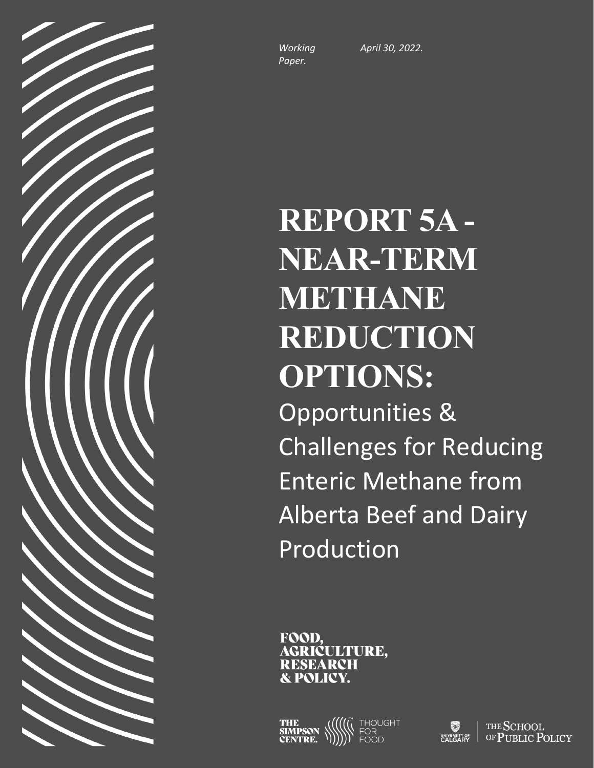*Working Paper.*

*April 30, 2022.*

# **REPORT 5A - NEAR-TERM METHANE REDUCTION OPTIONS:** Opportunities & Challenges for Reducing Enteric Methane from Alberta Beef and Dairy Production

FOOD. AGRIĆULTURE. RESEARCH **& POLICY.** 

THE<br>SIMPSON **THOUGH** 

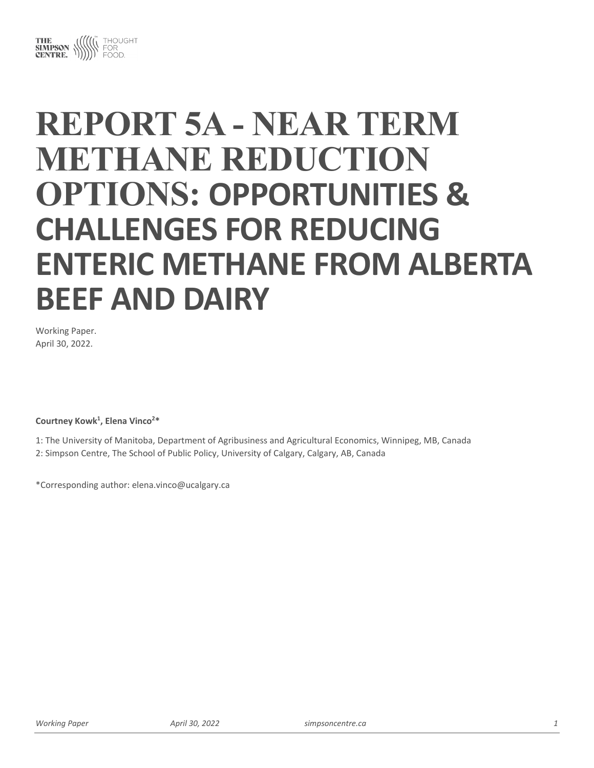

# **REPORT 5A - NEAR TERM METHANE REDUCTION OPTIONS: OPPORTUNITIES & CHALLENGES FOR REDUCING ENTERIC METHANE FROM ALBERTA BEEF AND DAIRY**

Working Paper. April 30, 2022.

#### Courtney Kowk<sup>1</sup>, Elena Vinco<sup>2\*</sup>

1: The University of Manitoba, Department of Agribusiness and Agricultural Economics, Winnipeg, MB, Canada 2: Simpson Centre, The School of Public Policy, University of Calgary, Calgary, AB, Canada

\*Corresponding author: elena.vinco@ucalgary.ca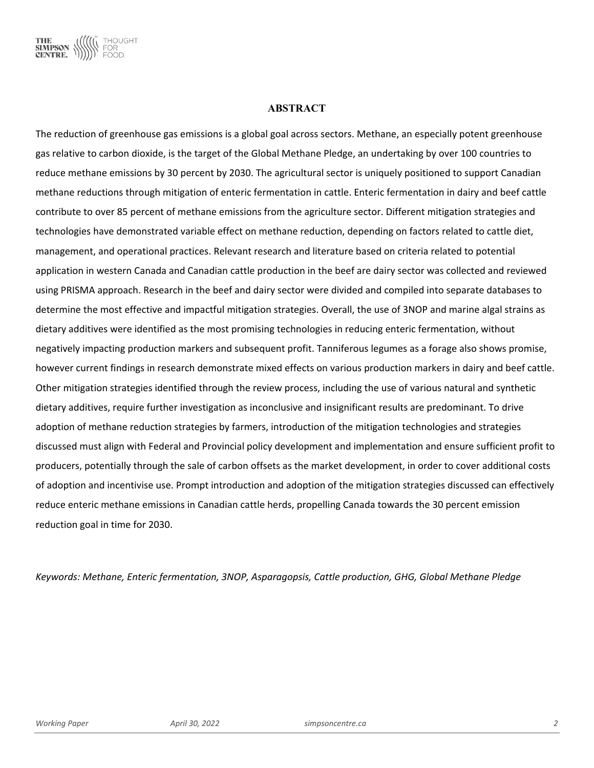

#### **ABSTRACT**

The reduction of greenhouse gas emissions is a global goal across sectors. Methane, an especially potent greenhouse gas relative to carbon dioxide, is the target of the Global Methane Pledge, an undertaking by over 100 countries to reduce methane emissions by 30 percent by 2030. The agricultural sector is uniquely positioned to support Canadian methane reductions through mitigation of enteric fermentation in cattle. Enteric fermentation in dairy and beef cattle contribute to over 85 percent of methane emissions from the agriculture sector. Different mitigation strategies and technologies have demonstrated variable effect on methane reduction, depending on factors related to cattle diet, management, and operational practices. Relevant research and literature based on criteria related to potential application in western Canada and Canadian cattle production in the beef are dairy sector was collected and reviewed using PRISMA approach. Research in the beef and dairy sector were divided and compiled into separate databases to determine the most effective and impactful mitigation strategies. Overall, the use of 3NOP and marine algal strains as dietary additives were identified as the most promising technologies in reducing enteric fermentation, without negatively impacting production markers and subsequent profit. Tanniferous legumes as a forage also shows promise, however current findings in research demonstrate mixed effects on various production markers in dairy and beef cattle. Other mitigation strategies identified through the review process, including the use of various natural and synthetic dietary additives, require further investigation as inconclusive and insignificant results are predominant. To drive adoption of methane reduction strategies by farmers, introduction of the mitigation technologies and strategies discussed must align with Federal and Provincial policy development and implementation and ensure sufficient profit to producers, potentially through the sale of carbon offsets as the market development, in order to cover additional costs of adoption and incentivise use. Prompt introduction and adoption of the mitigation strategies discussed can effectively reduce enteric methane emissions in Canadian cattle herds, propelling Canada towards the 30 percent emission reduction goal in time for 2030.

*Keywords: Methane, Enteric fermentation, 3NOP, Asparagopsis, Cattle production, GHG, Global Methane Pledge*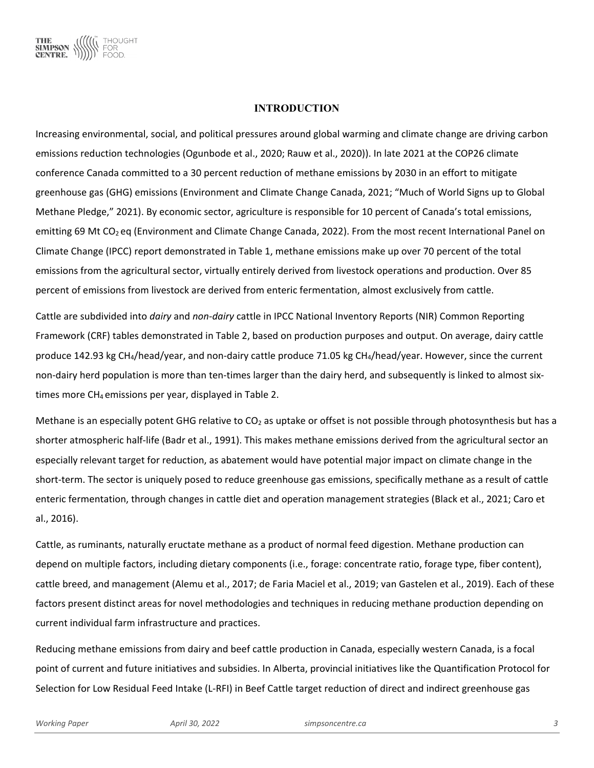

#### **INTRODUCTION**

Increasing environmental, social, and political pressures around global warming and climate change are driving carbon emissions reduction technologies (Ogunbode et al., 2020; Rauw et al., 2020)). In late 2021 at the COP26 climate conference Canada committed to a 30 percent reduction of methane emissions by 2030 in an effort to mitigate greenhouse gas (GHG) emissions (Environment and Climate Change Canada, 2021; "Much of World Signs up to Global Methane Pledge," 2021). By economic sector, agriculture is responsible for 10 percent of Canada's total emissions, emitting 69 Mt CO<sub>2</sub> eq (Environment and Climate Change Canada, 2022). From the most recent International Panel on Climate Change (IPCC) report demonstrated in Table 1, methane emissions make up over 70 percent of the total emissions from the agricultural sector, virtually entirely derived from livestock operations and production. Over 85 percent of emissions from livestock are derived from enteric fermentation, almost exclusively from cattle.

Cattle are subdivided into *dairy* and *non-dairy* cattle in IPCC National Inventory Reports (NIR) Common Reporting Framework (CRF) tables demonstrated in Table 2, based on production purposes and output. On average, dairy cattle produce 142.93 kg CH<sub>4</sub>/head/year, and non-dairy cattle produce 71.05 kg CH<sub>4</sub>/head/year. However, since the current non-dairy herd population is more than ten-times larger than the dairy herd, and subsequently is linked to almost sixtimes more CH<sub>4</sub> emissions per year, displayed in Table 2.

Methane is an especially potent GHG relative to  $CO<sub>2</sub>$  as uptake or offset is not possible through photosynthesis but has a shorter atmospheric half-life (Badr et al., 1991). This makes methane emissions derived from the agricultural sector an especially relevant target for reduction, as abatement would have potential major impact on climate change in the short-term. The sector is uniquely posed to reduce greenhouse gas emissions, specifically methane as a result of cattle enteric fermentation, through changes in cattle diet and operation management strategies (Black et al., 2021; Caro et al., 2016).

Cattle, as ruminants, naturally eructate methane as a product of normal feed digestion. Methane production can depend on multiple factors, including dietary components (i.e., forage: concentrate ratio, forage type, fiber content), cattle breed, and management (Alemu et al., 2017; de Faria Maciel et al., 2019; van Gastelen et al., 2019). Each of these factors present distinct areas for novel methodologies and techniques in reducing methane production depending on current individual farm infrastructure and practices.

Reducing methane emissions from dairy and beef cattle production in Canada, especially western Canada, is a focal point of current and future initiatives and subsidies. In Alberta, provincial initiatives like the Quantification Protocol for Selection for Low Residual Feed Intake (L-RFI) in Beef Cattle target reduction of direct and indirect greenhouse gas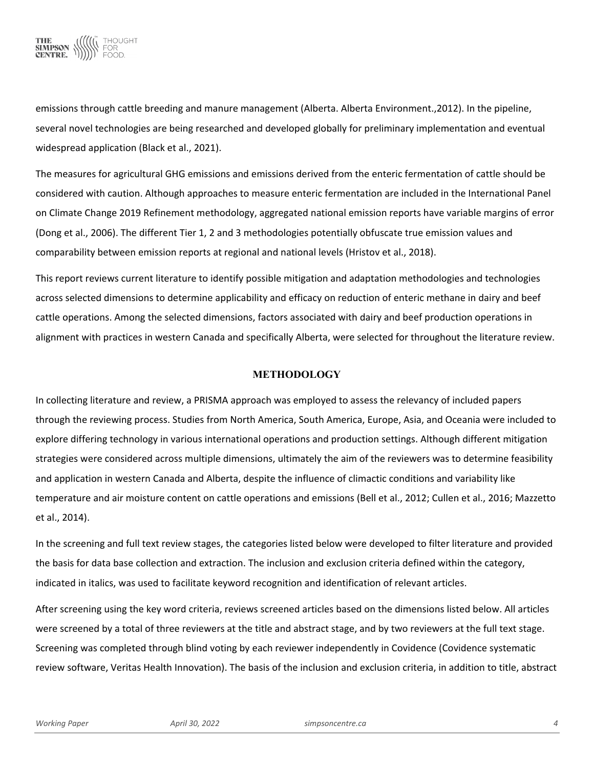

emissions through cattle breeding and manure management (Alberta. Alberta Environment.,2012). In the pipeline, several novel technologies are being researched and developed globally for preliminary implementation and eventual widespread application (Black et al., 2021).

The measures for agricultural GHG emissions and emissions derived from the enteric fermentation of cattle should be considered with caution. Although approaches to measure enteric fermentation are included in the International Panel on Climate Change 2019 Refinement methodology, aggregated national emission reports have variable margins of error (Dong et al., 2006). The different Tier 1, 2 and 3 methodologies potentially obfuscate true emission values and comparability between emission reports at regional and national levels (Hristov et al., 2018).

This report reviews current literature to identify possible mitigation and adaptation methodologies and technologies across selected dimensions to determine applicability and efficacy on reduction of enteric methane in dairy and beef cattle operations. Among the selected dimensions, factors associated with dairy and beef production operations in alignment with practices in western Canada and specifically Alberta, were selected for throughout the literature review.

#### **METHODOLOGY**

In collecting literature and review, a PRISMA approach was employed to assess the relevancy of included papers through the reviewing process. Studies from North America, South America, Europe, Asia, and Oceania were included to explore differing technology in various international operations and production settings. Although different mitigation strategies were considered across multiple dimensions, ultimately the aim of the reviewers was to determine feasibility and application in western Canada and Alberta, despite the influence of climactic conditions and variability like temperature and air moisture content on cattle operations and emissions (Bell et al., 2012; Cullen et al., 2016; Mazzetto et al., 2014).

In the screening and full text review stages, the categories listed below were developed to filter literature and provided the basis for data base collection and extraction. The inclusion and exclusion criteria defined within the category, indicated in italics, was used to facilitate keyword recognition and identification of relevant articles.

After screening using the key word criteria, reviews screened articles based on the dimensions listed below. All articles were screened by a total of three reviewers at the title and abstract stage, and by two reviewers at the full text stage. Screening was completed through blind voting by each reviewer independently in Covidence (Covidence systematic review software, Veritas Health Innovation). The basis of the inclusion and exclusion criteria, in addition to title, abstract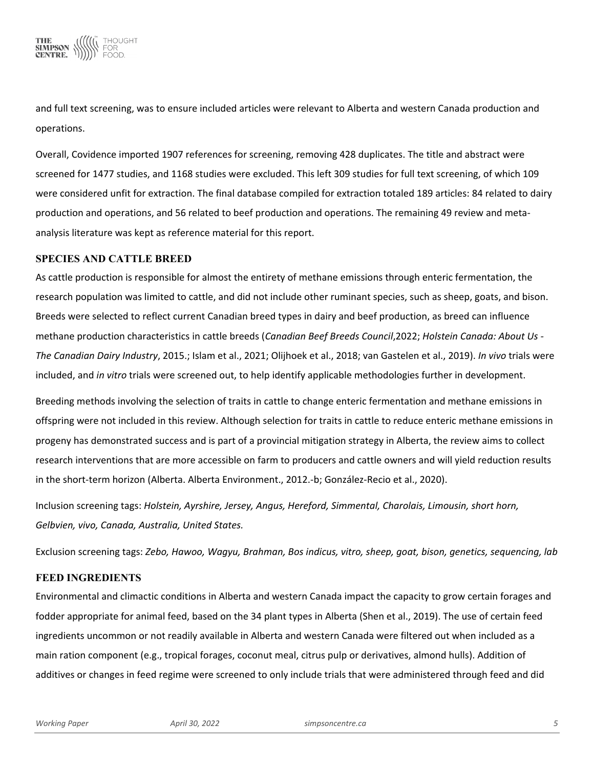

and full text screening, was to ensure included articles were relevant to Alberta and western Canada production and operations.

Overall, Covidence imported 1907 references for screening, removing 428 duplicates. The title and abstract were screened for 1477 studies, and 1168 studies were excluded. This left 309 studies for full text screening, of which 109 were considered unfit for extraction. The final database compiled for extraction totaled 189 articles: 84 related to dairy production and operations, and 56 related to beef production and operations. The remaining 49 review and metaanalysis literature was kept as reference material for this report.

#### **SPECIES AND CATTLE BREED**

As cattle production is responsible for almost the entirety of methane emissions through enteric fermentation, the research population was limited to cattle, and did not include other ruminant species, such as sheep, goats, and bison. Breeds were selected to reflect current Canadian breed types in dairy and beef production, as breed can influence methane production characteristics in cattle breeds (*Canadian Beef Breeds Council*,2022; *Holstein Canada: About Us - The Canadian Dairy Industry*, 2015.; Islam et al., 2021; Olijhoek et al., 2018; van Gastelen et al., 2019). *In vivo* trials were included, and *in vitro* trials were screened out, to help identify applicable methodologies further in development.

Breeding methods involving the selection of traits in cattle to change enteric fermentation and methane emissions in offspring were not included in this review. Although selection for traits in cattle to reduce enteric methane emissions in progeny has demonstrated success and is part of a provincial mitigation strategy in Alberta, the review aims to collect research interventions that are more accessible on farm to producers and cattle owners and will yield reduction results in the short-term horizon (Alberta. Alberta Environment., 2012.-b; González-Recio et al., 2020).

Inclusion screening tags: *Holstein, Ayrshire, Jersey, Angus, Hereford, Simmental, Charolais, Limousin, short horn, Gelbvien, vivo, Canada, Australia, United States.*

Exclusion screening tags: *Zebo, Hawoo, Wagyu, Brahman, Bos indicus, vitro, sheep, goat, bison, genetics, sequencing, lab*

### **FEED INGREDIENTS**

Environmental and climactic conditions in Alberta and western Canada impact the capacity to grow certain forages and fodder appropriate for animal feed, based on the 34 plant types in Alberta (Shen et al., 2019). The use of certain feed ingredients uncommon or not readily available in Alberta and western Canada were filtered out when included as a main ration component (e.g., tropical forages, coconut meal, citrus pulp or derivatives, almond hulls). Addition of additives or changes in feed regime were screened to only include trials that were administered through feed and did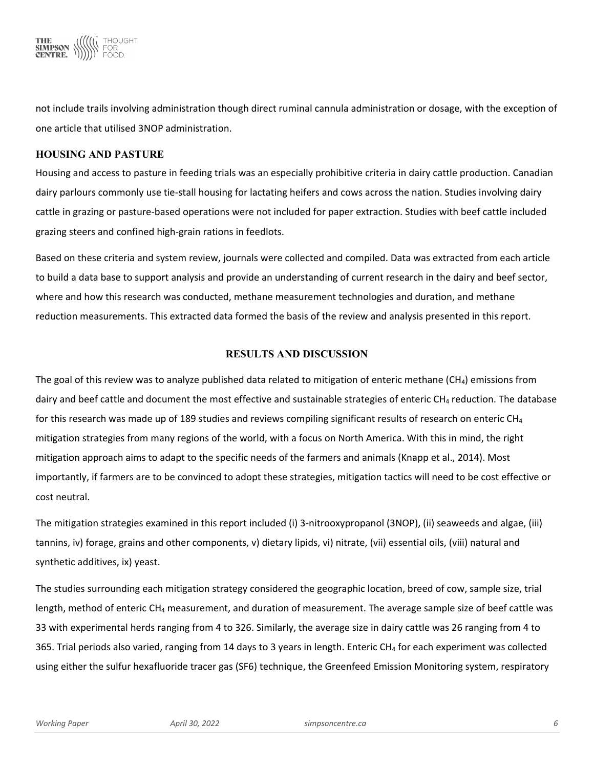

not include trails involving administration though direct ruminal cannula administration or dosage, with the exception of one article that utilised 3NOP administration.

# **HOUSING AND PASTURE**

Housing and access to pasture in feeding trials was an especially prohibitive criteria in dairy cattle production. Canadian dairy parlours commonly use tie-stall housing for lactating heifers and cows across the nation. Studies involving dairy cattle in grazing or pasture-based operations were not included for paper extraction. Studies with beef cattle included grazing steers and confined high-grain rations in feedlots.

Based on these criteria and system review, journals were collected and compiled. Data was extracted from each article to build a data base to support analysis and provide an understanding of current research in the dairy and beef sector, where and how this research was conducted, methane measurement technologies and duration, and methane reduction measurements. This extracted data formed the basis of the review and analysis presented in this report.

# **RESULTS AND DISCUSSION**

The goal of this review was to analyze published data related to mitigation of enteric methane (CH<sub>4</sub>) emissions from dairy and beef cattle and document the most effective and sustainable strategies of enteric  $CH_4$  reduction. The database for this research was made up of 189 studies and reviews compiling significant results of research on enteric CH<sub>4</sub> mitigation strategies from many regions of the world, with a focus on North America. With this in mind, the right mitigation approach aims to adapt to the specific needs of the farmers and animals (Knapp et al., 2014). Most importantly, if farmers are to be convinced to adopt these strategies, mitigation tactics will need to be cost effective or cost neutral.

The mitigation strategies examined in this report included (i) 3-nitrooxypropanol (3NOP), (ii) seaweeds and algae, (iii) tannins, iv) forage, grains and other components, v) dietary lipids, vi) nitrate, (vii) essential oils, (viii) natural and synthetic additives, ix) yeast.

The studies surrounding each mitigation strategy considered the geographic location, breed of cow, sample size, trial length, method of enteric CH4 measurement, and duration of measurement. The average sample size of beef cattle was 33 with experimental herds ranging from 4 to 326. Similarly, the average size in dairy cattle was 26 ranging from 4 to 365. Trial periods also varied, ranging from 14 days to 3 years in length. Enteric  $CH_4$  for each experiment was collected using either the sulfur hexafluoride tracer gas (SF6) technique, the Greenfeed Emission Monitoring system, respiratory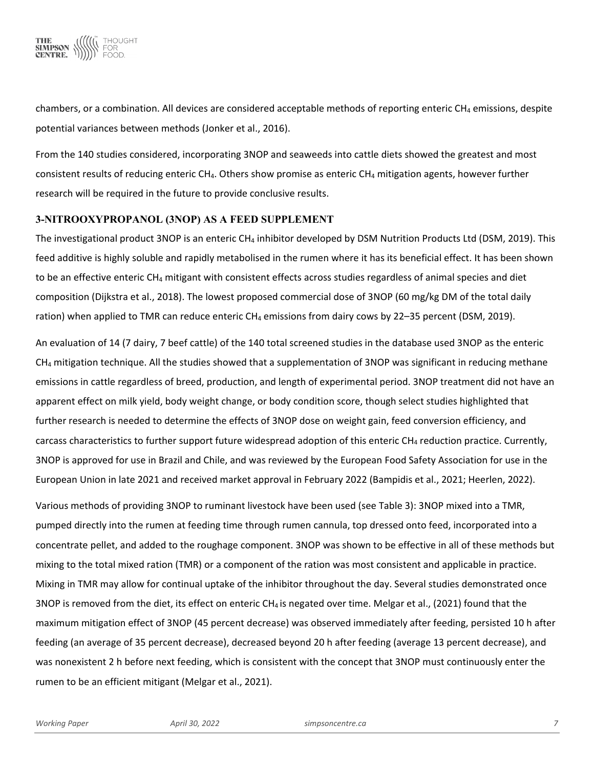

chambers, or a combination. All devices are considered acceptable methods of reporting enteric  $CH_4$  emissions, despite potential variances between methods (Jonker et al., 2016).

From the 140 studies considered, incorporating 3NOP and seaweeds into cattle diets showed the greatest and most consistent results of reducing enteric  $CH_4$ . Others show promise as enteric  $CH_4$  mitigation agents, however further research will be required in the future to provide conclusive results.

#### **3-NITROOXYPROPANOL (3NOP) AS A FEED SUPPLEMENT**

The investigational product 3NOP is an enteric  $CH_4$  inhibitor developed by DSM Nutrition Products Ltd (DSM, 2019). This feed additive is highly soluble and rapidly metabolised in the rumen where it has its beneficial effect. It has been shown to be an effective enteric CH<sub>4</sub> mitigant with consistent effects across studies regardless of animal species and diet composition (Dijkstra et al., 2018). The lowest proposed commercial dose of 3NOP (60 mg/kg DM of the total daily ration) when applied to TMR can reduce enteric CH<sub>4</sub> emissions from dairy cows by 22–35 percent (DSM, 2019).

An evaluation of 14 (7 dairy, 7 beef cattle) of the 140 total screened studies in the database used 3NOP as the enteric  $CH<sub>4</sub>$  mitigation technique. All the studies showed that a supplementation of 3NOP was significant in reducing methane emissions in cattle regardless of breed, production, and length of experimental period. 3NOP treatment did not have an apparent effect on milk yield, body weight change, or body condition score, though select studies highlighted that further research is needed to determine the effects of 3NOP dose on weight gain, feed conversion efficiency, and carcass characteristics to further support future widespread adoption of this enteric  $CH_4$  reduction practice. Currently, 3NOP is approved for use in Brazil and Chile, and was reviewed by the European Food Safety Association for use in the European Union in late 2021 and received market approval in February 2022 (Bampidis et al., 2021; Heerlen, 2022).

Various methods of providing 3NOP to ruminant livestock have been used (see Table 3): 3NOP mixed into a TMR, pumped directly into the rumen at feeding time through rumen cannula, top dressed onto feed, incorporated into a concentrate pellet, and added to the roughage component. 3NOP was shown to be effective in all of these methods but mixing to the total mixed ration (TMR) or a component of the ration was most consistent and applicable in practice. Mixing in TMR may allow for continual uptake of the inhibitor throughout the day. Several studies demonstrated once 3NOP is removed from the diet, its effect on enteric  $CH_4$  is negated over time. Melgar et al., (2021) found that the maximum mitigation effect of 3NOP (45 percent decrease) was observed immediately after feeding, persisted 10 h after feeding (an average of 35 percent decrease), decreased beyond 20 h after feeding (average 13 percent decrease), and was nonexistent 2 h before next feeding, which is consistent with the concept that 3NOP must continuously enter the rumen to be an efficient mitigant (Melgar et al., 2021).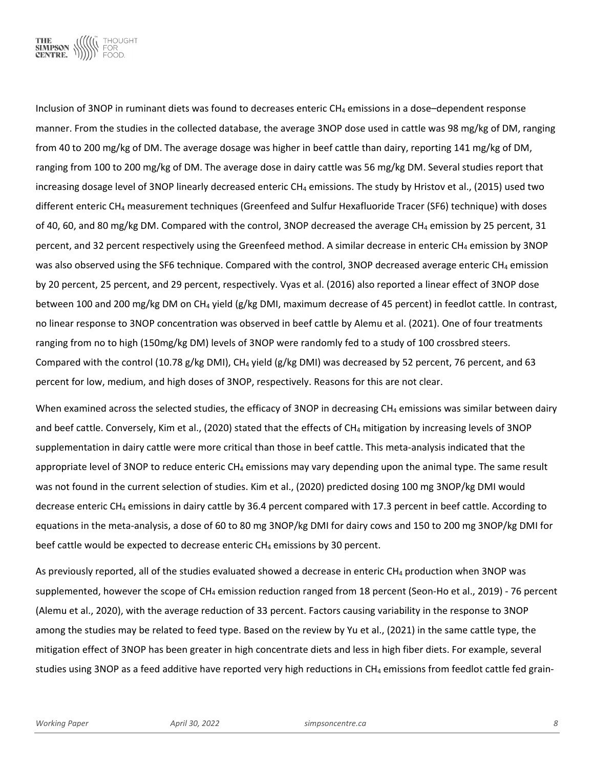

Inclusion of 3NOP in ruminant diets was found to decreases enteric  $CH_4$  emissions in a dose–dependent response manner. From the studies in the collected database, the average 3NOP dose used in cattle was 98 mg/kg of DM, ranging from 40 to 200 mg/kg of DM. The average dosage was higher in beef cattle than dairy, reporting 141 mg/kg of DM, ranging from 100 to 200 mg/kg of DM. The average dose in dairy cattle was 56 mg/kg DM. Several studies report that increasing dosage level of 3NOP linearly decreased enteric CH<sub>4</sub> emissions. The study by Hristov et al., (2015) used two different enteric CH4 measurement techniques (Greenfeed and Sulfur Hexafluoride Tracer (SF6) technique) with doses of 40, 60, and 80 mg/kg DM. Compared with the control, 3NOP decreased the average CH4 emission by 25 percent, 31 percent, and 32 percent respectively using the Greenfeed method. A similar decrease in enteric CH<sub>4</sub> emission by 3NOP was also observed using the SF6 technique. Compared with the control, 3NOP decreased average enteric CH<sub>4</sub> emission by 20 percent, 25 percent, and 29 percent, respectively. Vyas et al. (2016) also reported a linear effect of 3NOP dose between 100 and 200 mg/kg DM on CH<sub>4</sub> yield (g/kg DMI, maximum decrease of 45 percent) in feedlot cattle. In contrast, no linear response to 3NOP concentration was observed in beef cattle by Alemu et al. (2021). One of four treatments ranging from no to high (150mg/kg DM) levels of 3NOP were randomly fed to a study of 100 crossbred steers. Compared with the control (10.78 g/kg DMI), CH<sub>4</sub> yield (g/kg DMI) was decreased by 52 percent, 76 percent, and 63 percent for low, medium, and high doses of 3NOP, respectively. Reasons for this are not clear.

When examined across the selected studies, the efficacy of 3NOP in decreasing CH<sub>4</sub> emissions was similar between dairy and beef cattle. Conversely, Kim et al., (2020) stated that the effects of  $CH_4$  mitigation by increasing levels of 3NOP supplementation in dairy cattle were more critical than those in beef cattle. This meta-analysis indicated that the appropriate level of 3NOP to reduce enteric CH4 emissions may vary depending upon the animal type. The same result was not found in the current selection of studies. Kim et al., (2020) predicted dosing 100 mg 3NOP/kg DMI would decrease enteric CH4 emissions in dairy cattle by 36.4 percent compared with 17.3 percent in beef cattle. According to equations in the meta-analysis, a dose of 60 to 80 mg 3NOP/kg DMI for dairy cows and 150 to 200 mg 3NOP/kg DMI for beef cattle would be expected to decrease enteric  $CH_4$  emissions by 30 percent.

As previously reported, all of the studies evaluated showed a decrease in enteric CH<sub>4</sub> production when 3NOP was supplemented, however the scope of CH<sub>4</sub> emission reduction ranged from 18 percent (Seon-Ho et al., 2019) - 76 percent (Alemu et al., 2020), with the average reduction of 33 percent. Factors causing variability in the response to 3NOP among the studies may be related to feed type. Based on the review by Yu et al., (2021) in the same cattle type, the mitigation effect of 3NOP has been greater in high concentrate diets and less in high fiber diets. For example, several studies using 3NOP as a feed additive have reported very high reductions in  $CH_4$  emissions from feedlot cattle fed grain-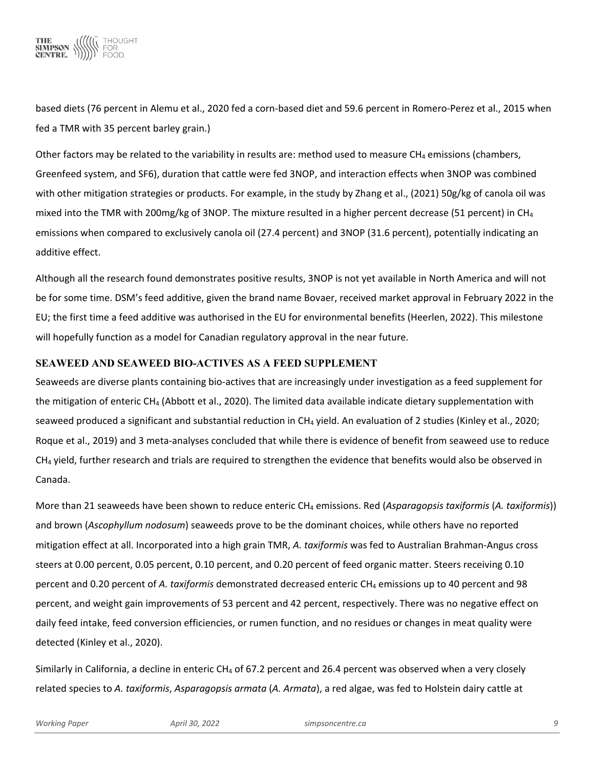

based diets (76 percent in Alemu et al., 2020 fed a corn-based diet and 59.6 percent in Romero-Perez et al., 2015 when fed a TMR with 35 percent barley grain.)

Other factors may be related to the variability in results are: method used to measure CH<sub>4</sub> emissions (chambers, Greenfeed system, and SF6), duration that cattle were fed 3NOP, and interaction effects when 3NOP was combined with other mitigation strategies or products. For example, in the study by Zhang et al., (2021) 50g/kg of canola oil was mixed into the TMR with 200mg/kg of 3NOP. The mixture resulted in a higher percent decrease (51 percent) in CH4 emissions when compared to exclusively canola oil (27.4 percent) and 3NOP (31.6 percent), potentially indicating an additive effect.

Although all the research found demonstrates positive results, 3NOP is not yet available in North America and will not be for some time. DSM's feed additive, given the brand name Bovaer, received market approval in February 2022 in the EU; the first time a feed additive was authorised in the EU for environmental benefits (Heerlen, 2022). This milestone will hopefully function as a model for Canadian regulatory approval in the near future.

# **SEAWEED AND SEAWEED BIO-ACTIVES AS A FEED SUPPLEMENT**

Seaweeds are diverse plants containing bio-actives that are increasingly under investigation as a feed supplement for the mitigation of enteric CH<sub>4</sub> (Abbott et al., 2020). The limited data available indicate dietary supplementation with seaweed produced a significant and substantial reduction in CH<sub>4</sub> yield. An evaluation of 2 studies (Kinley et al., 2020; Roque et al., 2019) and 3 meta-analyses concluded that while there is evidence of benefit from seaweed use to reduce CH4 yield, further research and trials are required to strengthen the evidence that benefits would also be observed in Canada.

More than 21 seaweeds have been shown to reduce enteric CH4 emissions. Red (*Asparagopsis taxiformis* (*A. taxiformis*)) and brown (*Ascophyllum nodosum*) seaweeds prove to be the dominant choices, while others have no reported mitigation effect at all. Incorporated into a high grain TMR, *A. taxiformis* was fed to Australian Brahman-Angus cross steers at 0.00 percent, 0.05 percent, 0.10 percent, and 0.20 percent of feed organic matter. Steers receiving 0.10 percent and 0.20 percent of *A. taxiformis* demonstrated decreased enteric CH4 emissions up to 40 percent and 98 percent, and weight gain improvements of 53 percent and 42 percent, respectively. There was no negative effect on daily feed intake, feed conversion efficiencies, or rumen function, and no residues or changes in meat quality were detected (Kinley et al., 2020).

Similarly in California, a decline in enteric CH<sub>4</sub> of 67.2 percent and 26.4 percent was observed when a very closely related species to *A. taxiformis*, *Asparagopsis armata* (*A. Armata*), a red algae, was fed to Holstein dairy cattle at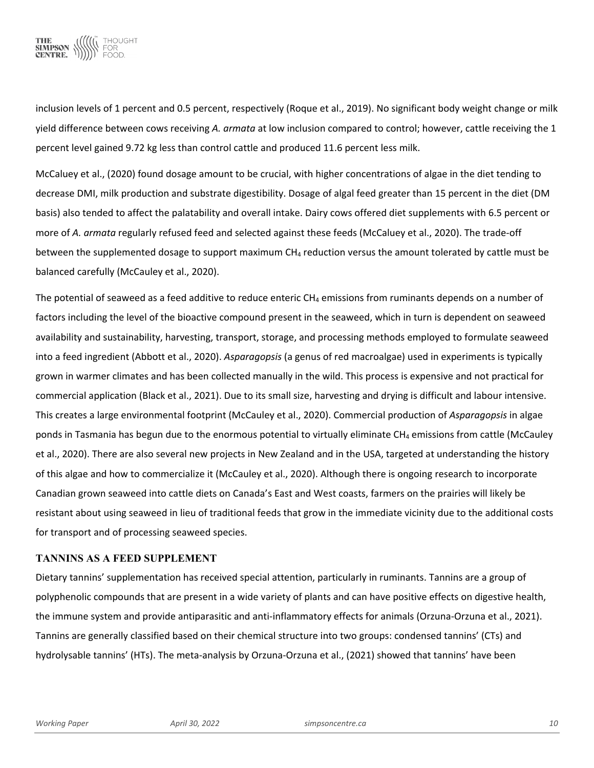

inclusion levels of 1 percent and 0.5 percent, respectively (Roque et al., 2019). No significant body weight change or milk yield difference between cows receiving *A. armata* at low inclusion compared to control; however, cattle receiving the 1 percent level gained 9.72 kg less than control cattle and produced 11.6 percent less milk.

McCaluey et al., (2020) found dosage amount to be crucial, with higher concentrations of algae in the diet tending to decrease DMI, milk production and substrate digestibility. Dosage of algal feed greater than 15 percent in the diet (DM basis) also tended to affect the palatability and overall intake. Dairy cows offered diet supplements with 6.5 percent or more of *A. armata* regularly refused feed and selected against these feeds (McCaluey et al., 2020). The trade-off between the supplemented dosage to support maximum CH<sub>4</sub> reduction versus the amount tolerated by cattle must be balanced carefully (McCauley et al., 2020).

The potential of seaweed as a feed additive to reduce enteric  $CH_4$  emissions from ruminants depends on a number of factors including the level of the bioactive compound present in the seaweed, which in turn is dependent on seaweed availability and sustainability, harvesting, transport, storage, and processing methods employed to formulate seaweed into a feed ingredient (Abbott et al., 2020). *Asparagopsis* (a genus of red macroalgae) used in experiments is typically grown in warmer climates and has been collected manually in the wild. This process is expensive and not practical for commercial application (Black et al., 2021). Due to its small size, harvesting and drying is difficult and labour intensive. This creates a large environmental footprint (McCauley et al., 2020). Commercial production of *Asparagopsis* in algae ponds in Tasmania has begun due to the enormous potential to virtually eliminate CH<sub>4</sub> emissions from cattle (McCauley et al., 2020). There are also several new projects in New Zealand and in the USA, targeted at understanding the history of this algae and how to commercialize it (McCauley et al., 2020). Although there is ongoing research to incorporate Canadian grown seaweed into cattle diets on Canada's East and West coasts, farmers on the prairies will likely be resistant about using seaweed in lieu of traditional feeds that grow in the immediate vicinity due to the additional costs for transport and of processing seaweed species.

#### **TANNINS AS A FEED SUPPLEMENT**

Dietary tannins' supplementation has received special attention, particularly in ruminants. Tannins are a group of polyphenolic compounds that are present in a wide variety of plants and can have positive effects on digestive health, the immune system and provide antiparasitic and anti-inflammatory effects for animals (Orzuna-Orzuna et al., 2021). Tannins are generally classified based on their chemical structure into two groups: condensed tannins' (CTs) and hydrolysable tannins' (HTs). The meta-analysis by Orzuna-Orzuna et al., (2021) showed that tannins' have been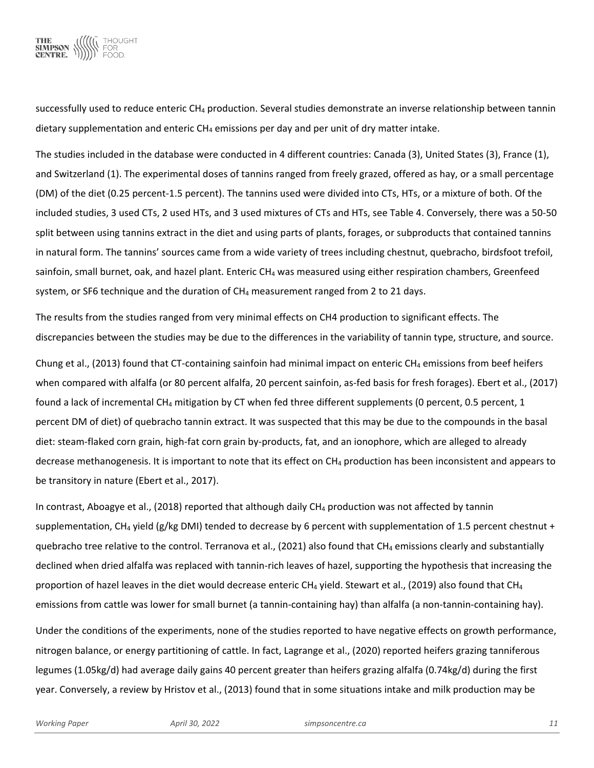

successfully used to reduce enteric  $CH_4$  production. Several studies demonstrate an inverse relationship between tannin dietary supplementation and enteric  $CH_4$  emissions per day and per unit of dry matter intake.

The studies included in the database were conducted in 4 different countries: Canada (3), United States (3), France (1), and Switzerland (1). The experimental doses of tannins ranged from freely grazed, offered as hay, or a small percentage (DM) of the diet (0.25 percent-1.5 percent). The tannins used were divided into CTs, HTs, or a mixture of both. Of the included studies, 3 used CTs, 2 used HTs, and 3 used mixtures of CTs and HTs, see Table 4. Conversely, there was a 50-50 split between using tannins extract in the diet and using parts of plants, forages, or subproducts that contained tannins in natural form. The tannins' sources came from a wide variety of trees including chestnut, quebracho, birdsfoot trefoil, sainfoin, small burnet, oak, and hazel plant. Enteric CH<sub>4</sub> was measured using either respiration chambers, Greenfeed system, or SF6 technique and the duration of  $CH_4$  measurement ranged from 2 to 21 days.

The results from the studies ranged from very minimal effects on CH4 production to significant effects. The discrepancies between the studies may be due to the differences in the variability of tannin type, structure, and source.

Chung et al., (2013) found that CT-containing sainfoin had minimal impact on enteric CH<sub>4</sub> emissions from beef heifers when compared with alfalfa (or 80 percent alfalfa, 20 percent sainfoin, as-fed basis for fresh forages). Ebert et al., (2017) found a lack of incremental CH<sub>4</sub> mitigation by CT when fed three different supplements (0 percent, 0.5 percent, 1 percent DM of diet) of quebracho tannin extract. It was suspected that this may be due to the compounds in the basal diet: steam-flaked corn grain, high-fat corn grain by-products, fat, and an ionophore, which are alleged to already decrease methanogenesis. It is important to note that its effect on CH<sub>4</sub> production has been inconsistent and appears to be transitory in nature (Ebert et al., 2017).

In contrast, Aboagye et al., (2018) reported that although daily CH<sub>4</sub> production was not affected by tannin supplementation, CH<sub>4</sub> yield (g/kg DMI) tended to decrease by 6 percent with supplementation of 1.5 percent chestnut + quebracho tree relative to the control. Terranova et al., (2021) also found that CH<sub>4</sub> emissions clearly and substantially declined when dried alfalfa was replaced with tannin-rich leaves of hazel, supporting the hypothesis that increasing the proportion of hazel leaves in the diet would decrease enteric CH<sub>4</sub> yield. Stewart et al., (2019) also found that CH<sub>4</sub> emissions from cattle was lower for small burnet (a tannin-containing hay) than alfalfa (a non-tannin-containing hay).

Under the conditions of the experiments, none of the studies reported to have negative effects on growth performance, nitrogen balance, or energy partitioning of cattle. In fact, Lagrange et al., (2020) reported heifers grazing tanniferous legumes (1.05kg/d) had average daily gains 40 percent greater than heifers grazing alfalfa (0.74kg/d) during the first year. Conversely, a review by Hristov et al., (2013) found that in some situations intake and milk production may be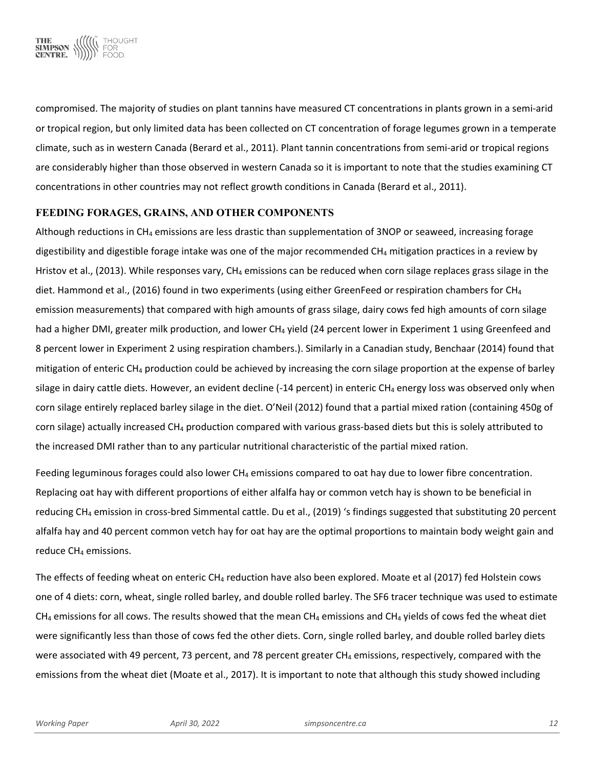

compromised. The majority of studies on plant tannins have measured CT concentrations in plants grown in a semi-arid or tropical region, but only limited data has been collected on CT concentration of forage legumes grown in a temperate climate, such as in western Canada (Berard et al., 2011). Plant tannin concentrations from semi-arid or tropical regions are considerably higher than those observed in western Canada so it is important to note that the studies examining CT concentrations in other countries may not reflect growth conditions in Canada (Berard et al., 2011).

#### **FEEDING FORAGES, GRAINS, AND OTHER COMPONENTS**

Although reductions in  $CH_4$  emissions are less drastic than supplementation of 3NOP or seaweed, increasing forage digestibility and digestible forage intake was one of the major recommended  $CH_4$  mitigation practices in a review by Hristov et al., (2013). While responses vary, CH<sub>4</sub> emissions can be reduced when corn silage replaces grass silage in the diet. Hammond et al., (2016) found in two experiments (using either GreenFeed or respiration chambers for CH<sub>4</sub> emission measurements) that compared with high amounts of grass silage, dairy cows fed high amounts of corn silage had a higher DMI, greater milk production, and lower CH<sub>4</sub> yield (24 percent lower in Experiment 1 using Greenfeed and 8 percent lower in Experiment 2 using respiration chambers.). Similarly in a Canadian study, Benchaar (2014) found that mitigation of enteric CH<sub>4</sub> production could be achieved by increasing the corn silage proportion at the expense of barley silage in dairy cattle diets. However, an evident decline  $(-14$  percent) in enteric CH<sub>4</sub> energy loss was observed only when corn silage entirely replaced barley silage in the diet. O'Neil (2012) found that a partial mixed ration (containing 450g of corn silage) actually increased CH4 production compared with various grass-based diets but this is solely attributed to the increased DMI rather than to any particular nutritional characteristic of the partial mixed ration.

Feeding leguminous forages could also lower CH<sub>4</sub> emissions compared to oat hay due to lower fibre concentration. Replacing oat hay with different proportions of either alfalfa hay or common vetch hay is shown to be beneficial in reducing CH4 emission in cross-bred Simmental cattle. Du et al., (2019) 's findings suggested that substituting 20 percent alfalfa hay and 40 percent common vetch hay for oat hay are the optimal proportions to maintain body weight gain and reduce CH<sub>4</sub> emissions.

The effects of feeding wheat on enteric CH<sub>4</sub> reduction have also been explored. Moate et al (2017) fed Holstein cows one of 4 diets: corn, wheat, single rolled barley, and double rolled barley. The SF6 tracer technique was used to estimate CH<sub>4</sub> emissions for all cows. The results showed that the mean CH<sub>4</sub> emissions and CH<sub>4</sub> yields of cows fed the wheat diet were significantly less than those of cows fed the other diets. Corn, single rolled barley, and double rolled barley diets were associated with 49 percent, 73 percent, and 78 percent greater CH<sub>4</sub> emissions, respectively, compared with the emissions from the wheat diet (Moate et al., 2017). It is important to note that although this study showed including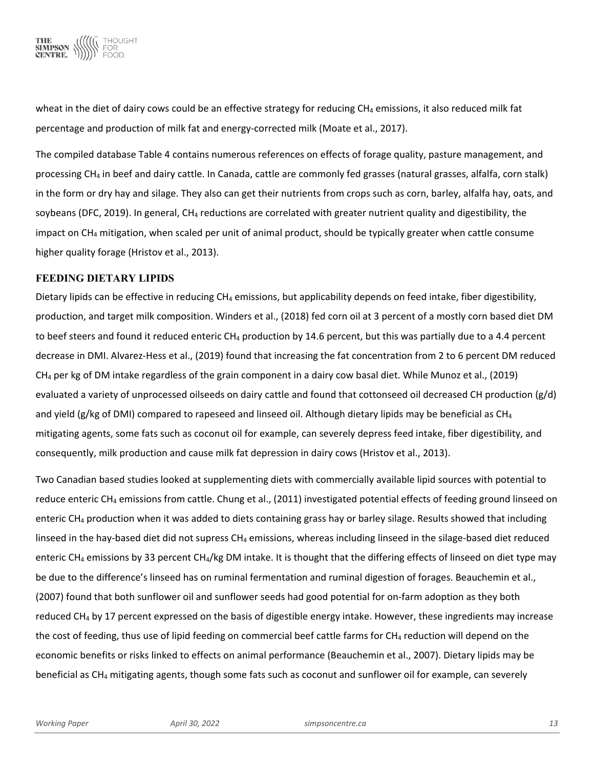

wheat in the diet of dairy cows could be an effective strategy for reducing  $CH_4$  emissions, it also reduced milk fat percentage and production of milk fat and energy-corrected milk (Moate et al., 2017).

The compiled database Table 4 contains numerous references on effects of forage quality, pasture management, and processing CH4 in beef and dairy cattle. In Canada, cattle are commonly fed grasses (natural grasses, alfalfa, corn stalk) in the form or dry hay and silage. They also can get their nutrients from crops such as corn, barley, alfalfa hay, oats, and soybeans (DFC, 2019). In general, CH<sub>4</sub> reductions are correlated with greater nutrient quality and digestibility, the impact on  $CH_4$  mitigation, when scaled per unit of animal product, should be typically greater when cattle consume higher quality forage (Hristov et al., 2013).

#### **FEEDING DIETARY LIPIDS**

Dietary lipids can be effective in reducing  $CH_4$  emissions, but applicability depends on feed intake, fiber digestibility, production, and target milk composition. Winders et al., (2018) fed corn oil at 3 percent of a mostly corn based diet DM to beef steers and found it reduced enteric CH<sub>4</sub> production by 14.6 percent, but this was partially due to a 4.4 percent decrease in DMI. Alvarez-Hess et al., (2019) found that increasing the fat concentration from 2 to 6 percent DM reduced CH4 per kg of DM intake regardless of the grain component in a dairy cow basal diet. While Munoz et al., (2019) evaluated a variety of unprocessed oilseeds on dairy cattle and found that cottonseed oil decreased CH production (g/d) and yield (g/kg of DMI) compared to rapeseed and linseed oil. Although dietary lipids may be beneficial as  $CH_4$ mitigating agents, some fats such as coconut oil for example, can severely depress feed intake, fiber digestibility, and consequently, milk production and cause milk fat depression in dairy cows (Hristov et al., 2013).

Two Canadian based studies looked at supplementing diets with commercially available lipid sources with potential to reduce enteric CH<sub>4</sub> emissions from cattle. Chung et al., (2011) investigated potential effects of feeding ground linseed on enteric CH<sub>4</sub> production when it was added to diets containing grass hay or barley silage. Results showed that including linseed in the hay-based diet did not supress  $CH_4$  emissions, whereas including linseed in the silage-based diet reduced enteric CH<sub>4</sub> emissions by 33 percent CH<sub>4</sub>/kg DM intake. It is thought that the differing effects of linseed on diet type may be due to the difference's linseed has on ruminal fermentation and ruminal digestion of forages. Beauchemin et al., (2007) found that both sunflower oil and sunflower seeds had good potential for on-farm adoption as they both reduced CH<sub>4</sub> by 17 percent expressed on the basis of digestible energy intake. However, these ingredients may increase the cost of feeding, thus use of lipid feeding on commercial beef cattle farms for  $CH_4$  reduction will depend on the economic benefits or risks linked to effects on animal performance (Beauchemin et al., 2007). Dietary lipids may be beneficial as CH4 mitigating agents, though some fats such as coconut and sunflower oil for example, can severely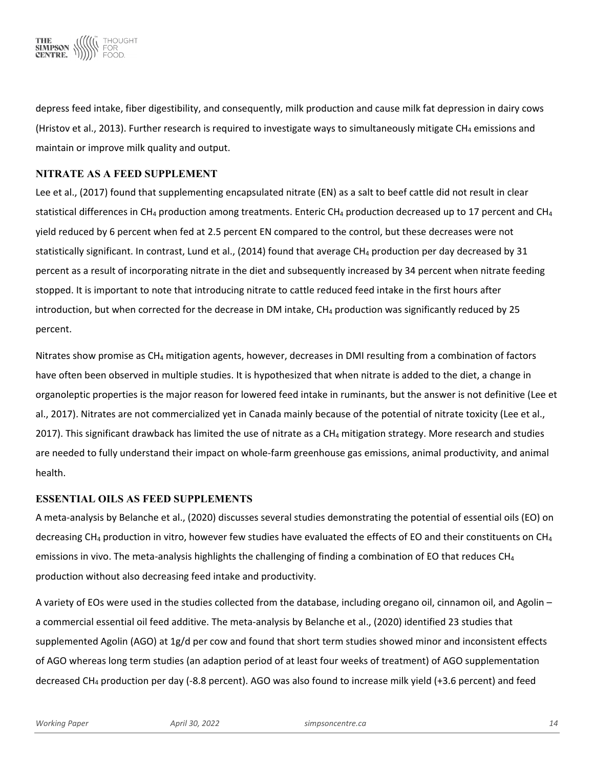

depress feed intake, fiber digestibility, and consequently, milk production and cause milk fat depression in dairy cows (Hristov et al., 2013). Further research is required to investigate ways to simultaneously mitigate CH<sub>4</sub> emissions and maintain or improve milk quality and output.

# **NITRATE AS A FEED SUPPLEMENT**

Lee et al., (2017) found that supplementing encapsulated nitrate (EN) as a salt to beef cattle did not result in clear statistical differences in CH<sub>4</sub> production among treatments. Enteric CH<sub>4</sub> production decreased up to 17 percent and CH<sub>4</sub> yield reduced by 6 percent when fed at 2.5 percent EN compared to the control, but these decreases were not statistically significant. In contrast, Lund et al., (2014) found that average CH<sub>4</sub> production per day decreased by 31 percent as a result of incorporating nitrate in the diet and subsequently increased by 34 percent when nitrate feeding stopped. It is important to note that introducing nitrate to cattle reduced feed intake in the first hours after introduction, but when corrected for the decrease in DM intake,  $CH_4$  production was significantly reduced by 25 percent.

Nitrates show promise as CH4 mitigation agents, however, decreases in DMI resulting from a combination of factors have often been observed in multiple studies. It is hypothesized that when nitrate is added to the diet, a change in organoleptic properties is the major reason for lowered feed intake in ruminants, but the answer is not definitive (Lee et al., 2017). Nitrates are not commercialized yet in Canada mainly because of the potential of nitrate toxicity (Lee et al., 2017). This significant drawback has limited the use of nitrate as a CH<sub>4</sub> mitigation strategy. More research and studies are needed to fully understand their impact on whole-farm greenhouse gas emissions, animal productivity, and animal health.

# **ESSENTIAL OILS AS FEED SUPPLEMENTS**

A meta-analysis by Belanche et al., (2020) discusses several studies demonstrating the potential of essential oils (EO) on decreasing CH<sub>4</sub> production in vitro, however few studies have evaluated the effects of EO and their constituents on CH<sub>4</sub> emissions in vivo. The meta-analysis highlights the challenging of finding a combination of EO that reduces  $CH_4$ production without also decreasing feed intake and productivity.

A variety of EOs were used in the studies collected from the database, including oregano oil, cinnamon oil, and Agolin – a commercial essential oil feed additive. The meta-analysis by Belanche et al., (2020) identified 23 studies that supplemented Agolin (AGO) at 1g/d per cow and found that short term studies showed minor and inconsistent effects of AGO whereas long term studies (an adaption period of at least four weeks of treatment) of AGO supplementation decreased CH4 production per day (-8.8 percent). AGO was also found to increase milk yield (+3.6 percent) and feed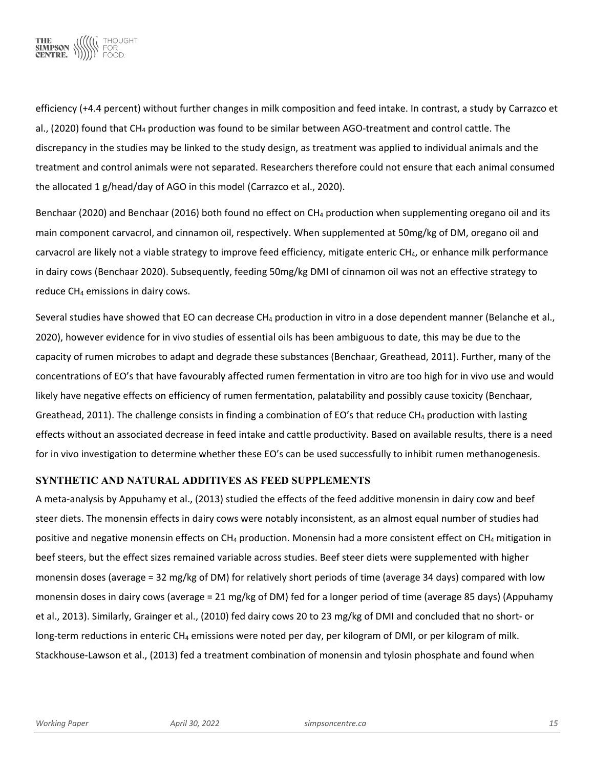

efficiency (+4.4 percent) without further changes in milk composition and feed intake. In contrast, a study by Carrazco et al., (2020) found that CH4 production was found to be similar between AGO-treatment and control cattle. The discrepancy in the studies may be linked to the study design, as treatment was applied to individual animals and the treatment and control animals were not separated. Researchers therefore could not ensure that each animal consumed the allocated 1 g/head/day of AGO in this model (Carrazco et al., 2020).

Benchaar (2020) and Benchaar (2016) both found no effect on CH<sub>4</sub> production when supplementing oregano oil and its main component carvacrol, and cinnamon oil, respectively. When supplemented at 50mg/kg of DM, oregano oil and carvacrol are likely not a viable strategy to improve feed efficiency, mitigate enteric CH<sub>4</sub>, or enhance milk performance in dairy cows (Benchaar 2020). Subsequently, feeding 50mg/kg DMI of cinnamon oil was not an effective strategy to reduce  $CH<sub>4</sub>$  emissions in dairy cows.

Several studies have showed that EO can decrease CH4 production in vitro in a dose dependent manner (Belanche et al., 2020), however evidence for in vivo studies of essential oils has been ambiguous to date, this may be due to the capacity of rumen microbes to adapt and degrade these substances (Benchaar, Greathead, 2011). Further, many of the concentrations of EO's that have favourably affected rumen fermentation in vitro are too high for in vivo use and would likely have negative effects on efficiency of rumen fermentation, palatability and possibly cause toxicity (Benchaar, Greathead, 2011). The challenge consists in finding a combination of EO's that reduce  $CH_4$  production with lasting effects without an associated decrease in feed intake and cattle productivity. Based on available results, there is a need for in vivo investigation to determine whether these EO's can be used successfully to inhibit rumen methanogenesis.

# **SYNTHETIC AND NATURAL ADDITIVES AS FEED SUPPLEMENTS**

A meta-analysis by Appuhamy et al., (2013) studied the effects of the feed additive monensin in dairy cow and beef steer diets. The monensin effects in dairy cows were notably inconsistent, as an almost equal number of studies had positive and negative monensin effects on CH<sub>4</sub> production. Monensin had a more consistent effect on CH<sub>4</sub> mitigation in beef steers, but the effect sizes remained variable across studies. Beef steer diets were supplemented with higher monensin doses (average = 32 mg/kg of DM) for relatively short periods of time (average 34 days) compared with low monensin doses in dairy cows (average = 21 mg/kg of DM) fed for a longer period of time (average 85 days) (Appuhamy et al., 2013). Similarly, Grainger et al., (2010) fed dairy cows 20 to 23 mg/kg of DMI and concluded that no short- or long-term reductions in enteric CH<sub>4</sub> emissions were noted per day, per kilogram of DMI, or per kilogram of milk. Stackhouse-Lawson et al., (2013) fed a treatment combination of monensin and tylosin phosphate and found when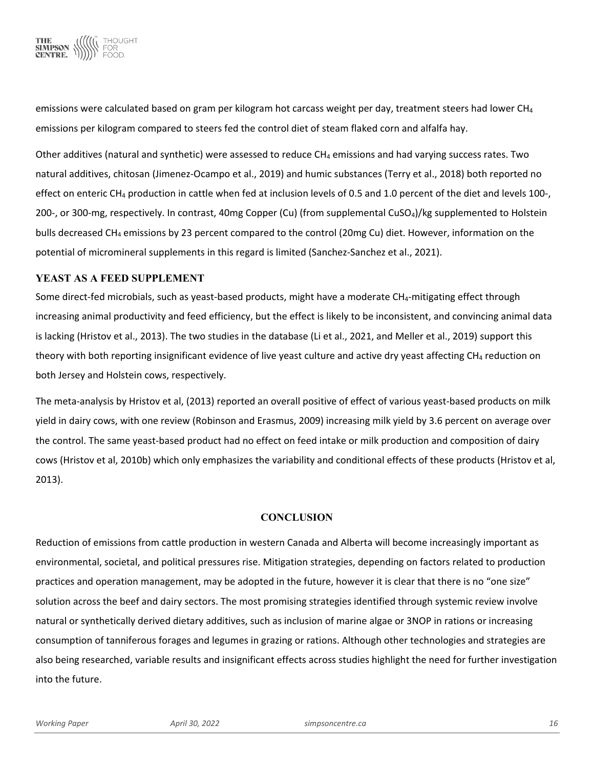

emissions were calculated based on gram per kilogram hot carcass weight per day, treatment steers had lower CH<sub>4</sub> emissions per kilogram compared to steers fed the control diet of steam flaked corn and alfalfa hay.

Other additives (natural and synthetic) were assessed to reduce CH<sub>4</sub> emissions and had varying success rates. Two natural additives, chitosan (Jimenez-Ocampo et al., 2019) and humic substances (Terry et al., 2018) both reported no effect on enteric CH<sub>4</sub> production in cattle when fed at inclusion levels of 0.5 and 1.0 percent of the diet and levels 100-, 200-, or 300-mg, respectively. In contrast, 40mg Copper (Cu) (from supplemental CuSO4)/kg supplemented to Holstein bulls decreased CH4 emissions by 23 percent compared to the control (20mg Cu) diet. However, information on the potential of micromineral supplements in this regard is limited (Sanchez-Sanchez et al., 2021).

#### **YEAST AS A FEED SUPPLEMENT**

Some direct-fed microbials, such as yeast-based products, might have a moderate  $CH<sub>4</sub>$ -mitigating effect through increasing animal productivity and feed efficiency, but the effect is likely to be inconsistent, and convincing animal data is lacking (Hristov et al., 2013). The two studies in the database (Li et al., 2021, and Meller et al., 2019) support this theory with both reporting insignificant evidence of live yeast culture and active dry yeast affecting CH<sub>4</sub> reduction on both Jersey and Holstein cows, respectively.

The meta-analysis by Hristov et al, (2013) reported an overall positive of effect of various yeast-based products on milk yield in dairy cows, with one review (Robinson and Erasmus, 2009) increasing milk yield by 3.6 percent on average over the control. The same yeast-based product had no effect on feed intake or milk production and composition of dairy cows (Hristov et al, 2010b) which only emphasizes the variability and conditional effects of these products (Hristov et al, 2013).

# **CONCLUSION**

Reduction of emissions from cattle production in western Canada and Alberta will become increasingly important as environmental, societal, and political pressures rise. Mitigation strategies, depending on factors related to production practices and operation management, may be adopted in the future, however it is clear that there is no "one size" solution across the beef and dairy sectors. The most promising strategies identified through systemic review involve natural or synthetically derived dietary additives, such as inclusion of marine algae or 3NOP in rations or increasing consumption of tanniferous forages and legumes in grazing or rations. Although other technologies and strategies are also being researched, variable results and insignificant effects across studies highlight the need for further investigation into the future.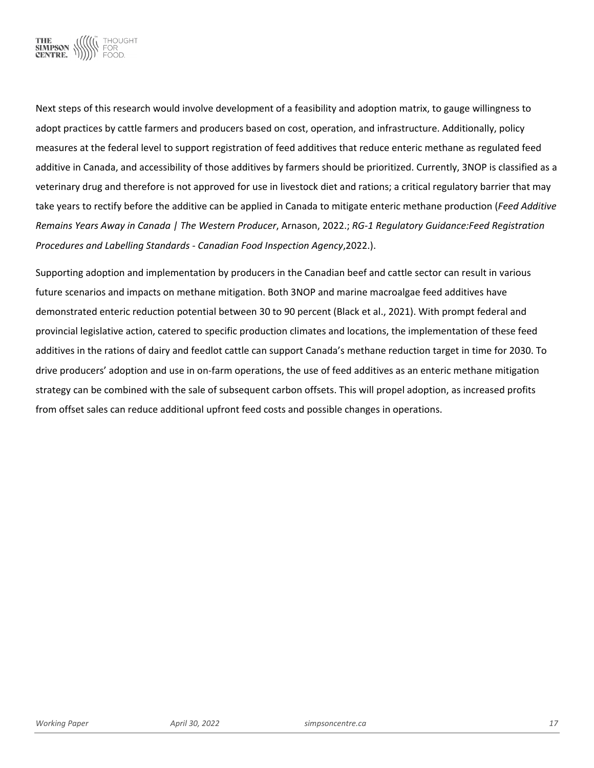

Next steps of this research would involve development of a feasibility and adoption matrix, to gauge willingness to adopt practices by cattle farmers and producers based on cost, operation, and infrastructure. Additionally, policy measures at the federal level to support registration of feed additives that reduce enteric methane as regulated feed additive in Canada, and accessibility of those additives by farmers should be prioritized. Currently, 3NOP is classified as a veterinary drug and therefore is not approved for use in livestock diet and rations; a critical regulatory barrier that may take years to rectify before the additive can be applied in Canada to mitigate enteric methane production (*Feed Additive Remains Years Away in Canada | The Western Producer*, Arnason, 2022.; *RG-1 Regulatory Guidance:Feed Registration Procedures and Labelling Standards - Canadian Food Inspection Agency*,2022.).

Supporting adoption and implementation by producers in the Canadian beef and cattle sector can result in various future scenarios and impacts on methane mitigation. Both 3NOP and marine macroalgae feed additives have demonstrated enteric reduction potential between 30 to 90 percent (Black et al., 2021). With prompt federal and provincial legislative action, catered to specific production climates and locations, the implementation of these feed additives in the rations of dairy and feedlot cattle can support Canada's methane reduction target in time for 2030. To drive producers' adoption and use in on-farm operations, the use of feed additives as an enteric methane mitigation strategy can be combined with the sale of subsequent carbon offsets. This will propel adoption, as increased profits from offset sales can reduce additional upfront feed costs and possible changes in operations.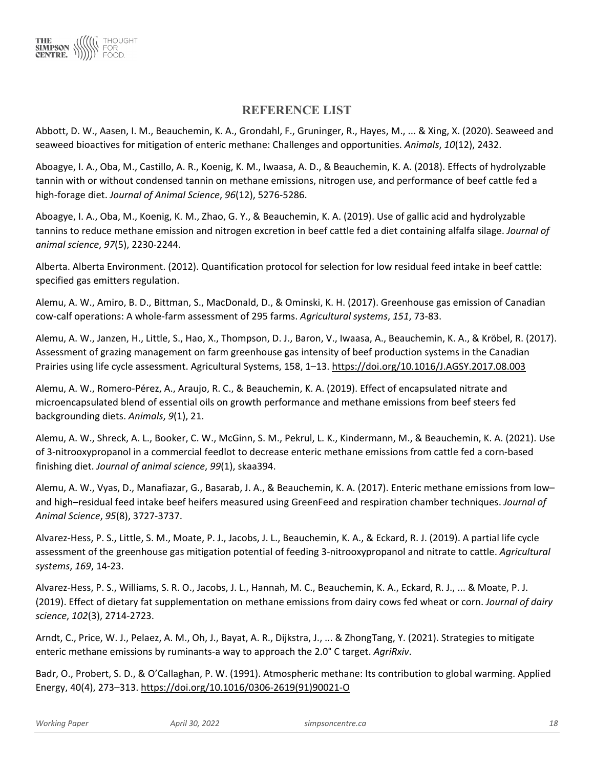

# **REFERENCE LIST**

Abbott, D. W., Aasen, I. M., Beauchemin, K. A., Grondahl, F., Gruninger, R., Hayes, M., ... & Xing, X. (2020). Seaweed and seaweed bioactives for mitigation of enteric methane: Challenges and opportunities. *Animals*, *10*(12), 2432.

Aboagye, I. A., Oba, M., Castillo, A. R., Koenig, K. M., Iwaasa, A. D., & Beauchemin, K. A. (2018). Effects of hydrolyzable tannin with or without condensed tannin on methane emissions, nitrogen use, and performance of beef cattle fed a high-forage diet. *Journal of Animal Science*, *96*(12), 5276-5286.

Aboagye, I. A., Oba, M., Koenig, K. M., Zhao, G. Y., & Beauchemin, K. A. (2019). Use of gallic acid and hydrolyzable tannins to reduce methane emission and nitrogen excretion in beef cattle fed a diet containing alfalfa silage. *Journal of animal science*, *97*(5), 2230-2244.

Alberta. Alberta Environment. (2012). Quantification protocol for selection for low residual feed intake in beef cattle: specified gas emitters regulation.

Alemu, A. W., Amiro, B. D., Bittman, S., MacDonald, D., & Ominski, K. H. (2017). Greenhouse gas emission of Canadian cow-calf operations: A whole-farm assessment of 295 farms. *Agricultural systems*, *151*, 73-83.

Alemu, A. W., Janzen, H., Little, S., Hao, X., Thompson, D. J., Baron, V., Iwaasa, A., Beauchemin, K. A., & Kröbel, R. (2017). Assessment of grazing management on farm greenhouse gas intensity of beef production systems in the Canadian Prairies using life cycle assessment. Agricultural Systems, 158, 1–13.<https://doi.org/10.1016/J.AGSY.2017.08.003>

Alemu, A. W., Romero-Pérez, A., Araujo, R. C., & Beauchemin, K. A. (2019). Effect of encapsulated nitrate and microencapsulated blend of essential oils on growth performance and methane emissions from beef steers fed backgrounding diets. *Animals*, *9*(1), 21.

Alemu, A. W., Shreck, A. L., Booker, C. W., McGinn, S. M., Pekrul, L. K., Kindermann, M., & Beauchemin, K. A. (2021). Use of 3-nitrooxypropanol in a commercial feedlot to decrease enteric methane emissions from cattle fed a corn-based finishing diet. *Journal of animal science*, *99*(1), skaa394.

Alemu, A. W., Vyas, D., Manafiazar, G., Basarab, J. A., & Beauchemin, K. A. (2017). Enteric methane emissions from low– and high–residual feed intake beef heifers measured using GreenFeed and respiration chamber techniques. *Journal of Animal Science*, *95*(8), 3727-3737.

Alvarez-Hess, P. S., Little, S. M., Moate, P. J., Jacobs, J. L., Beauchemin, K. A., & Eckard, R. J. (2019). A partial life cycle assessment of the greenhouse gas mitigation potential of feeding 3-nitrooxypropanol and nitrate to cattle. *Agricultural systems*, *169*, 14-23.

Alvarez-Hess, P. S., Williams, S. R. O., Jacobs, J. L., Hannah, M. C., Beauchemin, K. A., Eckard, R. J., ... & Moate, P. J. (2019). Effect of dietary fat supplementation on methane emissions from dairy cows fed wheat or corn. *Journal of dairy science*, *102*(3), 2714-2723.

Arndt, C., Price, W. J., Pelaez, A. M., Oh, J., Bayat, A. R., Dijkstra, J., ... & ZhongTang, Y. (2021). Strategies to mitigate enteric methane emissions by ruminants-a way to approach the 2.0° C target. *AgriRxiv*.

Badr, O., Probert, S. D., & O'Callaghan, P. W. (1991). Atmospheric methane: Its contribution to global warming. Applied Energy, 40(4), 273–313. [https://doi.org/10.1016/0306-2619\(91\)90021-O](https://doi.org/10.1016/0306-2619(91)90021-O)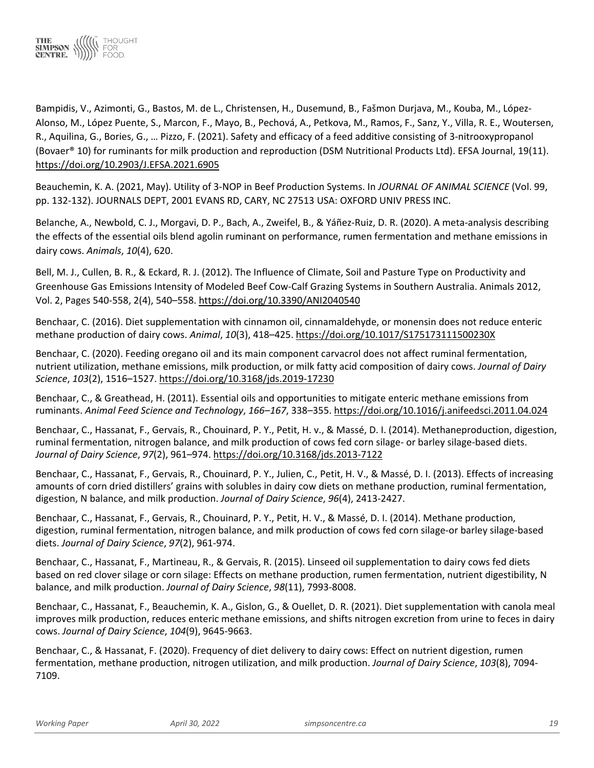

Bampidis, V., Azimonti, G., Bastos, M. de L., Christensen, H., Dusemund, B., Fašmon Durjava, M., Kouba, M., López-Alonso, M., López Puente, S., Marcon, F., Mayo, B., Pechová, A., Petkova, M., Ramos, F., Sanz, Y., Villa, R. E., Woutersen, R., Aquilina, G., Bories, G., … Pizzo, F. (2021). Safety and efficacy of a feed additive consisting of 3-nitrooxypropanol (Bovaer® 10) for ruminants for milk production and reproduction (DSM Nutritional Products Ltd). EFSA Journal, 19(11). <https://doi.org/10.2903/J.EFSA.2021.6905>

Beauchemin, K. A. (2021, May). Utility of 3-NOP in Beef Production Systems. In *JOURNAL OF ANIMAL SCIENCE* (Vol. 99, pp. 132-132). JOURNALS DEPT, 2001 EVANS RD, CARY, NC 27513 USA: OXFORD UNIV PRESS INC.

Belanche, A., Newbold, C. J., Morgavi, D. P., Bach, A., Zweifel, B., & Yáñez-Ruiz, D. R. (2020). A meta-analysis describing the effects of the essential oils blend agolin ruminant on performance, rumen fermentation and methane emissions in dairy cows. *Animals*, *10*(4), 620.

Bell, M. J., Cullen, B. R., & Eckard, R. J. (2012). The Influence of Climate, Soil and Pasture Type on Productivity and Greenhouse Gas Emissions Intensity of Modeled Beef Cow-Calf Grazing Systems in Southern Australia. Animals 2012, Vol. 2, Pages 540-558, 2(4), 540–558.<https://doi.org/10.3390/ANI2040540>

Benchaar, C. (2016). Diet supplementation with cinnamon oil, cinnamaldehyde, or monensin does not reduce enteric methane production of dairy cows. *Animal*, *10*(3), 418–425.<https://doi.org/10.1017/S175173111500230X>

Benchaar, C. (2020). Feeding oregano oil and its main component carvacrol does not affect ruminal fermentation, nutrient utilization, methane emissions, milk production, or milk fatty acid composition of dairy cows. *Journal of Dairy Science*, *103*(2), 1516–1527.<https://doi.org/10.3168/jds.2019-17230>

Benchaar, C., & Greathead, H. (2011). Essential oils and opportunities to mitigate enteric methane emissions from ruminants. *Animal Feed Science and Technology*, *166–167*, 338–355[. https://doi.org/10.1016/j.anifeedsci.2011.04.024](https://doi.org/10.1016/j.anifeedsci.2011.04.024)

Benchaar, C., Hassanat, F., Gervais, R., Chouinard, P. Y., Petit, H. v., & Massé, D. I. (2014). Methaneproduction, digestion, ruminal fermentation, nitrogen balance, and milk production of cows fed corn silage- or barley silage-based diets. *Journal of Dairy Science*, *97*(2), 961–974.<https://doi.org/10.3168/jds.2013-7122>

Benchaar, C., Hassanat, F., Gervais, R., Chouinard, P. Y., Julien, C., Petit, H. V., & Massé, D. I. (2013). Effects of increasing amounts of corn dried distillers' grains with solubles in dairy cow diets on methane production, ruminal fermentation, digestion, N balance, and milk production. *Journal of Dairy Science*, *96*(4), 2413-2427.

Benchaar, C., Hassanat, F., Gervais, R., Chouinard, P. Y., Petit, H. V., & Massé, D. I. (2014). Methane production, digestion, ruminal fermentation, nitrogen balance, and milk production of cows fed corn silage-or barley silage-based diets. *Journal of Dairy Science*, *97*(2), 961-974.

Benchaar, C., Hassanat, F., Martineau, R., & Gervais, R. (2015). Linseed oil supplementation to dairy cows fed diets based on red clover silage or corn silage: Effects on methane production, rumen fermentation, nutrient digestibility, N balance, and milk production. *Journal of Dairy Science*, *98*(11), 7993-8008.

Benchaar, C., Hassanat, F., Beauchemin, K. A., Gislon, G., & Ouellet, D. R. (2021). Diet supplementation with canola meal improves milk production, reduces enteric methane emissions, and shifts nitrogen excretion from urine to feces in dairy cows. *Journal of Dairy Science*, *104*(9), 9645-9663.

Benchaar, C., & Hassanat, F. (2020). Frequency of diet delivery to dairy cows: Effect on nutrient digestion, rumen fermentation, methane production, nitrogen utilization, and milk production. *Journal of Dairy Science*, *103*(8), 7094- 7109.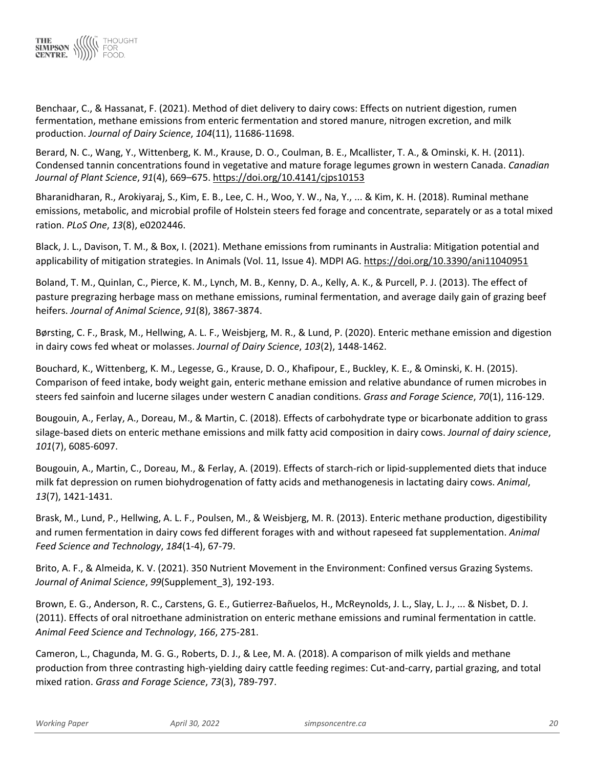

Benchaar, C., & Hassanat, F. (2021). Method of diet delivery to dairy cows: Effects on nutrient digestion, rumen fermentation, methane emissions from enteric fermentation and stored manure, nitrogen excretion, and milk production. *Journal of Dairy Science*, *104*(11), 11686-11698.

Berard, N. C., Wang, Y., Wittenberg, K. M., Krause, D. O., Coulman, B. E., Mcallister, T. A., & Ominski, K. H. (2011). Condensed tannin concentrations found in vegetative and mature forage legumes grown in western Canada. *Canadian Journal of Plant Science*, *91*(4), 669–675[. https://doi.org/10.4141/cjps10153](https://doi.org/10.4141/cjps10153)

Bharanidharan, R., Arokiyaraj, S., Kim, E. B., Lee, C. H., Woo, Y. W., Na, Y., ... & Kim, K. H. (2018). Ruminal methane emissions, metabolic, and microbial profile of Holstein steers fed forage and concentrate, separately or as a total mixed ration. *PLoS One*, *13*(8), e0202446.

Black, J. L., Davison, T. M., & Box, I. (2021). Methane emissions from ruminants in Australia: Mitigation potential and applicability of mitigation strategies. In Animals (Vol. 11, Issue 4). MDPI AG.<https://doi.org/10.3390/ani11040951>

Boland, T. M., Quinlan, C., Pierce, K. M., Lynch, M. B., Kenny, D. A., Kelly, A. K., & Purcell, P. J. (2013). The effect of pasture pregrazing herbage mass on methane emissions, ruminal fermentation, and average daily gain of grazing beef heifers. *Journal of Animal Science*, *91*(8), 3867-3874.

Børsting, C. F., Brask, M., Hellwing, A. L. F., Weisbjerg, M. R., & Lund, P. (2020). Enteric methane emission and digestion in dairy cows fed wheat or molasses. *Journal of Dairy Science*, *103*(2), 1448-1462.

Bouchard, K., Wittenberg, K. M., Legesse, G., Krause, D. O., Khafipour, E., Buckley, K. E., & Ominski, K. H. (2015). Comparison of feed intake, body weight gain, enteric methane emission and relative abundance of rumen microbes in steers fed sainfoin and lucerne silages under western C anadian conditions. *Grass and Forage Science*, *70*(1), 116-129.

Bougouin, A., Ferlay, A., Doreau, M., & Martin, C. (2018). Effects of carbohydrate type or bicarbonate addition to grass silage-based diets on enteric methane emissions and milk fatty acid composition in dairy cows. *Journal of dairy science*, *101*(7), 6085-6097.

Bougouin, A., Martin, C., Doreau, M., & Ferlay, A. (2019). Effects of starch-rich or lipid-supplemented diets that induce milk fat depression on rumen biohydrogenation of fatty acids and methanogenesis in lactating dairy cows. *Animal*, *13*(7), 1421-1431.

Brask, M., Lund, P., Hellwing, A. L. F., Poulsen, M., & Weisbjerg, M. R. (2013). Enteric methane production, digestibility and rumen fermentation in dairy cows fed different forages with and without rapeseed fat supplementation. *Animal Feed Science and Technology*, *184*(1-4), 67-79.

Brito, A. F., & Almeida, K. V. (2021). 350 Nutrient Movement in the Environment: Confined versus Grazing Systems. *Journal of Animal Science*, *99*(Supplement\_3), 192-193.

Brown, E. G., Anderson, R. C., Carstens, G. E., Gutierrez-Bañuelos, H., McReynolds, J. L., Slay, L. J., ... & Nisbet, D. J. (2011). Effects of oral nitroethane administration on enteric methane emissions and ruminal fermentation in cattle. *Animal Feed Science and Technology*, *166*, 275-281.

Cameron, L., Chagunda, M. G. G., Roberts, D. J., & Lee, M. A. (2018). A comparison of milk yields and methane production from three contrasting high-yielding dairy cattle feeding regimes: Cut-and-carry, partial grazing, and total mixed ration. *Grass and Forage Science*, *73*(3), 789-797.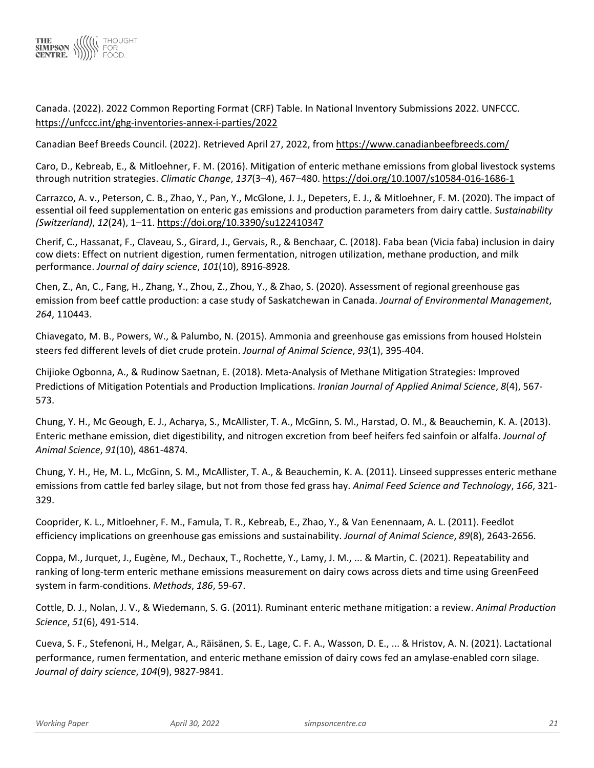

Canada. (2022). 2022 Common Reporting Format (CRF) Table. In National Inventory Submissions 2022. UNFCCC. <https://unfccc.int/ghg-inventories-annex-i-parties/2022>

Canadian Beef Breeds Council. (2022). Retrieved April 27, 2022, fro[m https://www.canadianbeefbreeds.com/](https://www.canadianbeefbreeds.com/)

Caro, D., Kebreab, E., & Mitloehner, F. M. (2016). Mitigation of enteric methane emissions from global livestock systems through nutrition strategies. *Climatic Change*, *137*(3–4), 467–480[. https://doi.org/10.1007/s10584-016-1686-1](https://doi.org/10.1007/s10584-016-1686-1)

Carrazco, A. v., Peterson, C. B., Zhao, Y., Pan, Y., McGlone, J. J., Depeters, E. J., & Mitloehner, F. M. (2020). The impact of essential oil feed supplementation on enteric gas emissions and production parameters from dairy cattle. *Sustainability (Switzerland)*, *12*(24), 1–11.<https://doi.org/10.3390/su122410347>

Cherif, C., Hassanat, F., Claveau, S., Girard, J., Gervais, R., & Benchaar, C. (2018). Faba bean (Vicia faba) inclusion in dairy cow diets: Effect on nutrient digestion, rumen fermentation, nitrogen utilization, methane production, and milk performance. *Journal of dairy science*, *101*(10), 8916-8928.

Chen, Z., An, C., Fang, H., Zhang, Y., Zhou, Z., Zhou, Y., & Zhao, S. (2020). Assessment of regional greenhouse gas emission from beef cattle production: a case study of Saskatchewan in Canada. *Journal of Environmental Management*, *264*, 110443.

Chiavegato, M. B., Powers, W., & Palumbo, N. (2015). Ammonia and greenhouse gas emissions from housed Holstein steers fed different levels of diet crude protein. *Journal of Animal Science*, *93*(1), 395-404.

Chijioke Ogbonna, A., & Rudinow Saetnan, E. (2018). Meta-Analysis of Methane Mitigation Strategies: Improved Predictions of Mitigation Potentials and Production Implications. *Iranian Journal of Applied Animal Science*, *8*(4), 567- 573.

Chung, Y. H., Mc Geough, E. J., Acharya, S., McAllister, T. A., McGinn, S. M., Harstad, O. M., & Beauchemin, K. A. (2013). Enteric methane emission, diet digestibility, and nitrogen excretion from beef heifers fed sainfoin or alfalfa. *Journal of Animal Science*, *91*(10), 4861-4874.

Chung, Y. H., He, M. L., McGinn, S. M., McAllister, T. A., & Beauchemin, K. A. (2011). Linseed suppresses enteric methane emissions from cattle fed barley silage, but not from those fed grass hay. *Animal Feed Science and Technology*, *166*, 321- 329.

Cooprider, K. L., Mitloehner, F. M., Famula, T. R., Kebreab, E., Zhao, Y., & Van Eenennaam, A. L. (2011). Feedlot efficiency implications on greenhouse gas emissions and sustainability. *Journal of Animal Science*, *89*(8), 2643-2656.

Coppa, M., Jurquet, J., Eugène, M., Dechaux, T., Rochette, Y., Lamy, J. M., ... & Martin, C. (2021). Repeatability and ranking of long-term enteric methane emissions measurement on dairy cows across diets and time using GreenFeed system in farm-conditions. *Methods*, *186*, 59-67.

Cottle, D. J., Nolan, J. V., & Wiedemann, S. G. (2011). Ruminant enteric methane mitigation: a review. *Animal Production Science*, *51*(6), 491-514.

Cueva, S. F., Stefenoni, H., Melgar, A., Räisänen, S. E., Lage, C. F. A., Wasson, D. E., ... & Hristov, A. N. (2021). Lactational performance, rumen fermentation, and enteric methane emission of dairy cows fed an amylase-enabled corn silage. *Journal of dairy science*, *104*(9), 9827-9841.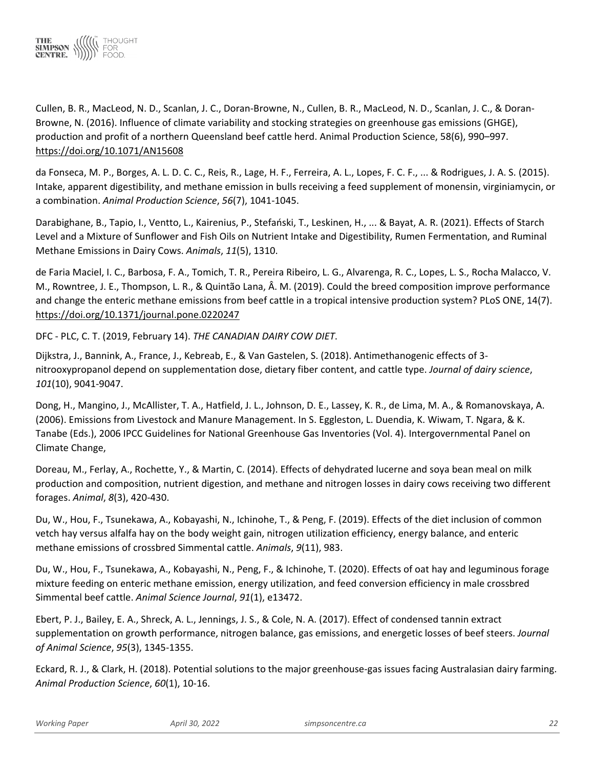

Cullen, B. R., MacLeod, N. D., Scanlan, J. C., Doran-Browne, N., Cullen, B. R., MacLeod, N. D., Scanlan, J. C., & Doran-Browne, N. (2016). Influence of climate variability and stocking strategies on greenhouse gas emissions (GHGE), production and profit of a northern Queensland beef cattle herd. Animal Production Science, 58(6), 990–997. <https://doi.org/10.1071/AN15608>

da Fonseca, M. P., Borges, A. L. D. C. C., Reis, R., Lage, H. F., Ferreira, A. L., Lopes, F. C. F., ... & Rodrigues, J. A. S. (2015). Intake, apparent digestibility, and methane emission in bulls receiving a feed supplement of monensin, virginiamycin, or a combination. *Animal Production Science*, *56*(7), 1041-1045.

Darabighane, B., Tapio, I., Ventto, L., Kairenius, P., Stefański, T., Leskinen, H., ... & Bayat, A. R. (2021). Effects of Starch Level and a Mixture of Sunflower and Fish Oils on Nutrient Intake and Digestibility, Rumen Fermentation, and Ruminal Methane Emissions in Dairy Cows. *Animals*, *11*(5), 1310.

de Faria Maciel, I. C., Barbosa, F. A., Tomich, T. R., Pereira Ribeiro, L. G., Alvarenga, R. C., Lopes, L. S., Rocha Malacco, V. M., Rowntree, J. E., Thompson, L. R., & Quintão Lana, Â. M. (2019). Could the breed composition improve performance and change the enteric methane emissions from beef cattle in a tropical intensive production system? PLoS ONE, 14(7). <https://doi.org/10.1371/journal.pone.0220247>

DFC - PLC, C. T. (2019, February 14). *THE CANADIAN DAIRY COW DIET*.

Dijkstra, J., Bannink, A., France, J., Kebreab, E., & Van Gastelen, S. (2018). Antimethanogenic effects of 3 nitrooxypropanol depend on supplementation dose, dietary fiber content, and cattle type. *Journal of dairy science*, *101*(10), 9041-9047.

Dong, H., Mangino, J., McAllister, T. A., Hatfield, J. L., Johnson, D. E., Lassey, K. R., de Lima, M. A., & Romanovskaya, A. (2006). Emissions from Livestock and Manure Management. In S. Eggleston, L. Duendia, K. Wiwam, T. Ngara, & K. Tanabe (Eds.), 2006 IPCC Guidelines for National Greenhouse Gas Inventories (Vol. 4). Intergovernmental Panel on Climate Change,

Doreau, M., Ferlay, A., Rochette, Y., & Martin, C. (2014). Effects of dehydrated lucerne and soya bean meal on milk production and composition, nutrient digestion, and methane and nitrogen losses in dairy cows receiving two different forages. *Animal*, *8*(3), 420-430.

Du, W., Hou, F., Tsunekawa, A., Kobayashi, N., Ichinohe, T., & Peng, F. (2019). Effects of the diet inclusion of common vetch hay versus alfalfa hay on the body weight gain, nitrogen utilization efficiency, energy balance, and enteric methane emissions of crossbred Simmental cattle. *Animals*, *9*(11), 983.

Du, W., Hou, F., Tsunekawa, A., Kobayashi, N., Peng, F., & Ichinohe, T. (2020). Effects of oat hay and leguminous forage mixture feeding on enteric methane emission, energy utilization, and feed conversion efficiency in male crossbred Simmental beef cattle. *Animal Science Journal*, *91*(1), e13472.

Ebert, P. J., Bailey, E. A., Shreck, A. L., Jennings, J. S., & Cole, N. A. (2017). Effect of condensed tannin extract supplementation on growth performance, nitrogen balance, gas emissions, and energetic losses of beef steers. *Journal of Animal Science*, *95*(3), 1345-1355.

Eckard, R. J., & Clark, H. (2018). Potential solutions to the major greenhouse-gas issues facing Australasian dairy farming. *Animal Production Science*, *60*(1), 10-16.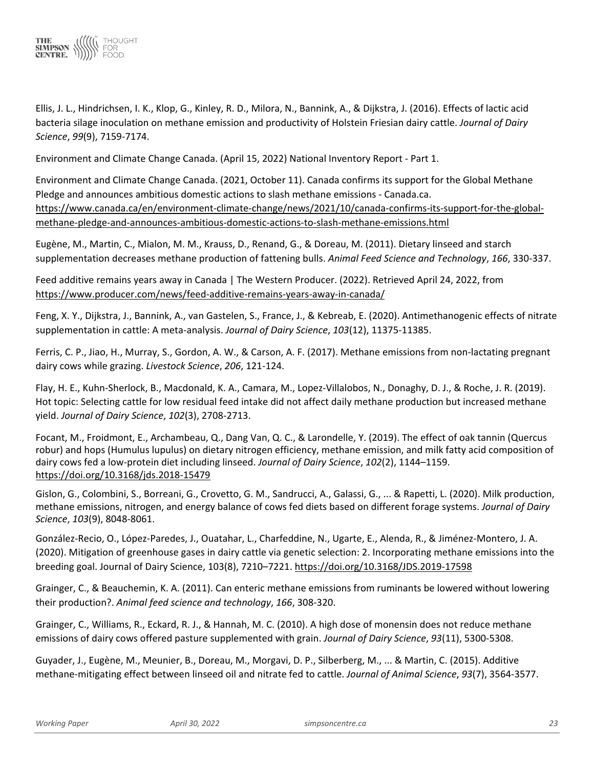

Ellis, J. L., Hindrichsen, I. K., Klop, G., Kinley, R. D., Milora, N., Bannink, A., & Dijkstra, J. (2016). Effects of lactic acid bacteria silage inoculation on methane emission and productivity of Holstein Friesian dairy cattle. *Journal of Dairy Science*, *99*(9), 7159-7174.

Environment and Climate Change Canada. (April 15, 2022) National Inventory Report - Part 1.

Environment and Climate Change Canada. (2021, October 11). Canada confirms its support for the Global Methane Pledge and announces ambitious domestic actions to slash methane emissions - Canada.ca. [https://www.canada.ca/en/environment-climate-change/news/2021/10/canada-confirms-its-support-for-the-global](https://www.canada.ca/en/environment-climate-change/news/2021/10/canada-confirms-its-support-for-the-global-methane-pledge-and-announces-ambitious-domestic-actions-to-slash-methane-emissions.html)[methane-pledge-and-announces-ambitious-domestic-actions-to-slash-methane-emissions.html](https://www.canada.ca/en/environment-climate-change/news/2021/10/canada-confirms-its-support-for-the-global-methane-pledge-and-announces-ambitious-domestic-actions-to-slash-methane-emissions.html)

Eugène, M., Martin, C., Mialon, M. M., Krauss, D., Renand, G., & Doreau, M. (2011). Dietary linseed and starch supplementation decreases methane production of fattening bulls. *Animal Feed Science and Technology*, *166*, 330-337.

Feed additive remains years away in Canada | The Western Producer. (2022). Retrieved April 24, 2022, from <https://www.producer.com/news/feed-additive-remains-years-away-in-canada/>

Feng, X. Y., Dijkstra, J., Bannink, A., van Gastelen, S., France, J., & Kebreab, E. (2020). Antimethanogenic effects of nitrate supplementation in cattle: A meta-analysis. *Journal of Dairy Science*, *103*(12), 11375-11385.

Ferris, C. P., Jiao, H., Murray, S., Gordon, A. W., & Carson, A. F. (2017). Methane emissions from non-lactating pregnant dairy cows while grazing. *Livestock Science*, *206*, 121-124.

Flay, H. E., Kuhn-Sherlock, B., Macdonald, K. A., Camara, M., Lopez-Villalobos, N., Donaghy, D. J., & Roche, J. R. (2019). Hot topic: Selecting cattle for low residual feed intake did not affect daily methane production but increased methane yield. *Journal of Dairy Science*, *102*(3), 2708-2713.

Focant, M., Froidmont, E., Archambeau, Q., Dang Van, Q. C., & Larondelle, Y. (2019). The effect of oak tannin (Quercus robur) and hops (Humulus lupulus) on dietary nitrogen efficiency, methane emission, and milk fatty acid composition of dairy cows fed a low-protein diet including linseed. *Journal of Dairy Science*, *102*(2), 1144–1159. <https://doi.org/10.3168/jds.2018-15479>

Gislon, G., Colombini, S., Borreani, G., Crovetto, G. M., Sandrucci, A., Galassi, G., ... & Rapetti, L. (2020). Milk production, methane emissions, nitrogen, and energy balance of cows fed diets based on different forage systems. *Journal of Dairy Science*, *103*(9), 8048-8061.

González-Recio, O., López-Paredes, J., Ouatahar, L., Charfeddine, N., Ugarte, E., Alenda, R., & Jiménez-Montero, J. A. (2020). Mitigation of greenhouse gases in dairy cattle via genetic selection: 2. Incorporating methane emissions into the breeding goal. Journal of Dairy Science, 103(8), 7210–7221.<https://doi.org/10.3168/JDS.2019-17598>

Grainger, C., & Beauchemin, K. A. (2011). Can enteric methane emissions from ruminants be lowered without lowering their production?. *Animal feed science and technology*, *166*, 308-320.

Grainger, C., Williams, R., Eckard, R. J., & Hannah, M. C. (2010). A high dose of monensin does not reduce methane emissions of dairy cows offered pasture supplemented with grain. *Journal of Dairy Science*, *93*(11), 5300-5308.

Guyader, J., Eugène, M., Meunier, B., Doreau, M., Morgavi, D. P., Silberberg, M., ... & Martin, C. (2015). Additive methane-mitigating effect between linseed oil and nitrate fed to cattle. *Journal of Animal Science*, *93*(7), 3564-3577.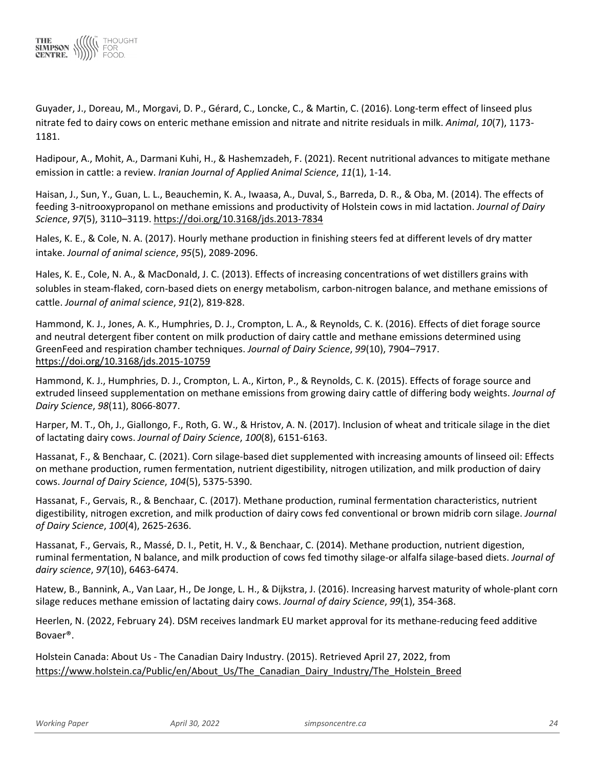

Guyader, J., Doreau, M., Morgavi, D. P., Gérard, C., Loncke, C., & Martin, C. (2016). Long-term effect of linseed plus nitrate fed to dairy cows on enteric methane emission and nitrate and nitrite residuals in milk. *Animal*, *10*(7), 1173- 1181.

Hadipour, A., Mohit, A., Darmani Kuhi, H., & Hashemzadeh, F. (2021). Recent nutritional advances to mitigate methane emission in cattle: a review. *Iranian Journal of Applied Animal Science*, *11*(1), 1-14.

Haisan, J., Sun, Y., Guan, L. L., Beauchemin, K. A., Iwaasa, A., Duval, S., Barreda, D. R., & Oba, M. (2014). The effects of feeding 3-nitrooxypropanol on methane emissions and productivity of Holstein cows in mid lactation. *Journal of Dairy Science*, *97*(5), 3110–3119[. https://doi.org/10.3168/jds.2013-7834](https://doi.org/10.3168/jds.2013-7834)

Hales, K. E., & Cole, N. A. (2017). Hourly methane production in finishing steers fed at different levels of dry matter intake. *Journal of animal science*, *95*(5), 2089-2096.

Hales, K. E., Cole, N. A., & MacDonald, J. C. (2013). Effects of increasing concentrations of wet distillers grains with solubles in steam-flaked, corn-based diets on energy metabolism, carbon-nitrogen balance, and methane emissions of cattle. *Journal of animal science*, *91*(2), 819-828.

Hammond, K. J., Jones, A. K., Humphries, D. J., Crompton, L. A., & Reynolds, C. K. (2016). Effects of diet forage source and neutral detergent fiber content on milk production of dairy cattle and methane emissions determined using GreenFeed and respiration chamber techniques. *Journal of Dairy Science*, *99*(10), 7904–7917. <https://doi.org/10.3168/jds.2015-10759>

Hammond, K. J., Humphries, D. J., Crompton, L. A., Kirton, P., & Reynolds, C. K. (2015). Effects of forage source and extruded linseed supplementation on methane emissions from growing dairy cattle of differing body weights. *Journal of Dairy Science*, *98*(11), 8066-8077.

Harper, M. T., Oh, J., Giallongo, F., Roth, G. W., & Hristov, A. N. (2017). Inclusion of wheat and triticale silage in the diet of lactating dairy cows. *Journal of Dairy Science*, *100*(8), 6151-6163.

Hassanat, F., & Benchaar, C. (2021). Corn silage-based diet supplemented with increasing amounts of linseed oil: Effects on methane production, rumen fermentation, nutrient digestibility, nitrogen utilization, and milk production of dairy cows. *Journal of Dairy Science*, *104*(5), 5375-5390.

Hassanat, F., Gervais, R., & Benchaar, C. (2017). Methane production, ruminal fermentation characteristics, nutrient digestibility, nitrogen excretion, and milk production of dairy cows fed conventional or brown midrib corn silage. *Journal of Dairy Science*, *100*(4), 2625-2636.

Hassanat, F., Gervais, R., Massé, D. I., Petit, H. V., & Benchaar, C. (2014). Methane production, nutrient digestion, ruminal fermentation, N balance, and milk production of cows fed timothy silage-or alfalfa silage-based diets. *Journal of dairy science*, *97*(10), 6463-6474.

Hatew, B., Bannink, A., Van Laar, H., De Jonge, L. H., & Dijkstra, J. (2016). Increasing harvest maturity of whole-plant corn silage reduces methane emission of lactating dairy cows. *Journal of dairy Science*, *99*(1), 354-368.

Heerlen, N. (2022, February 24). DSM receives landmark EU market approval for its methane-reducing feed additive Bovaer®.

Holstein Canada: About Us - The Canadian Dairy Industry. (2015). Retrieved April 27, 2022, from [https://www.holstein.ca/Public/en/About\\_Us/The\\_Canadian\\_Dairy\\_Industry/The\\_Holstein\\_Breed](https://www.holstein.ca/Public/en/About_Us/The_Canadian_Dairy_Industry/The_Holstein_Breed)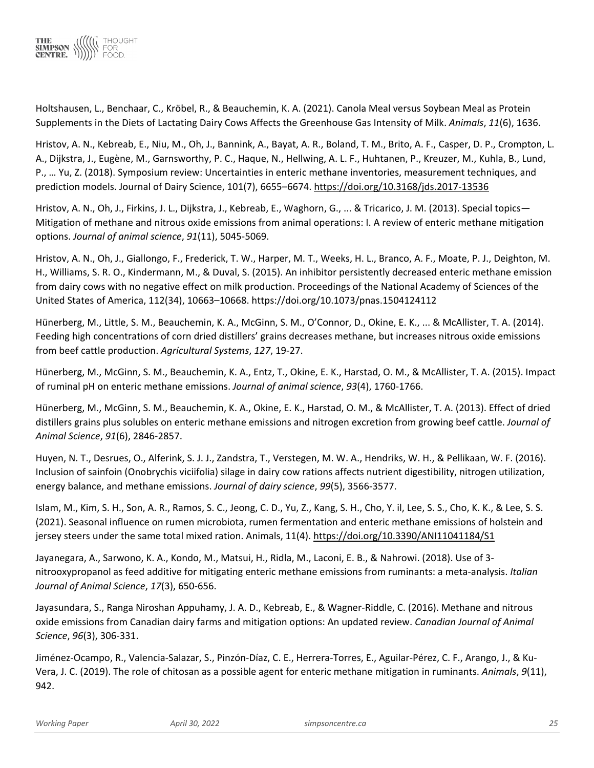

Holtshausen, L., Benchaar, C., Kröbel, R., & Beauchemin, K. A. (2021). Canola Meal versus Soybean Meal as Protein Supplements in the Diets of Lactating Dairy Cows Affects the Greenhouse Gas Intensity of Milk. *Animals*, *11*(6), 1636.

Hristov, A. N., Kebreab, E., Niu, M., Oh, J., Bannink, A., Bayat, A. R., Boland, T. M., Brito, A. F., Casper, D. P., Crompton, L. A., Dijkstra, J., Eugène, M., Garnsworthy, P. C., Haque, N., Hellwing, A. L. F., Huhtanen, P., Kreuzer, M., Kuhla, B., Lund, P., … Yu, Z. (2018). Symposium review: Uncertainties in enteric methane inventories, measurement techniques, and prediction models. Journal of Dairy Science, 101(7), 6655–6674.<https://doi.org/10.3168/jds.2017-13536>

Hristov, A. N., Oh, J., Firkins, J. L., Dijkstra, J., Kebreab, E., Waghorn, G., ... & Tricarico, J. M. (2013). Special topics— Mitigation of methane and nitrous oxide emissions from animal operations: I. A review of enteric methane mitigation options. *Journal of animal science*, *91*(11), 5045-5069.

Hristov, A. N., Oh, J., Giallongo, F., Frederick, T. W., Harper, M. T., Weeks, H. L., Branco, A. F., Moate, P. J., Deighton, M. H., Williams, S. R. O., Kindermann, M., & Duval, S. (2015). An inhibitor persistently decreased enteric methane emission from dairy cows with no negative effect on milk production. Proceedings of the National Academy of Sciences of the United States of America, 112(34), 10663–10668. https://doi.org/10.1073/pnas.1504124112

Hünerberg, M., Little, S. M., Beauchemin, K. A., McGinn, S. M., O'Connor, D., Okine, E. K., ... & McAllister, T. A. (2014). Feeding high concentrations of corn dried distillers' grains decreases methane, but increases nitrous oxide emissions from beef cattle production. *Agricultural Systems*, *127*, 19-27.

Hünerberg, M., McGinn, S. M., Beauchemin, K. A., Entz, T., Okine, E. K., Harstad, O. M., & McAllister, T. A. (2015). Impact of ruminal pH on enteric methane emissions. *Journal of animal science*, *93*(4), 1760-1766.

Hünerberg, M., McGinn, S. M., Beauchemin, K. A., Okine, E. K., Harstad, O. M., & McAllister, T. A. (2013). Effect of dried distillers grains plus solubles on enteric methane emissions and nitrogen excretion from growing beef cattle. *Journal of Animal Science*, *91*(6), 2846-2857.

Huyen, N. T., Desrues, O., Alferink, S. J. J., Zandstra, T., Verstegen, M. W. A., Hendriks, W. H., & Pellikaan, W. F. (2016). Inclusion of sainfoin (Onobrychis viciifolia) silage in dairy cow rations affects nutrient digestibility, nitrogen utilization, energy balance, and methane emissions. *Journal of dairy science*, *99*(5), 3566-3577.

Islam, M., Kim, S. H., Son, A. R., Ramos, S. C., Jeong, C. D., Yu, Z., Kang, S. H., Cho, Y. il, Lee, S. S., Cho, K. K., & Lee, S. S. (2021). Seasonal influence on rumen microbiota, rumen fermentation and enteric methane emissions of holstein and jersey steers under the same total mixed ration. Animals, 11(4).<https://doi.org/10.3390/ANI11041184/S1>

Jayanegara, A., Sarwono, K. A., Kondo, M., Matsui, H., Ridla, M., Laconi, E. B., & Nahrowi. (2018). Use of 3 nitrooxypropanol as feed additive for mitigating enteric methane emissions from ruminants: a meta-analysis. *Italian Journal of Animal Science*, *17*(3), 650-656.

Jayasundara, S., Ranga Niroshan Appuhamy, J. A. D., Kebreab, E., & Wagner-Riddle, C. (2016). Methane and nitrous oxide emissions from Canadian dairy farms and mitigation options: An updated review. *Canadian Journal of Animal Science*, *96*(3), 306-331.

Jiménez-Ocampo, R., Valencia-Salazar, S., Pinzón-Díaz, C. E., Herrera-Torres, E., Aguilar-Pérez, C. F., Arango, J., & Ku-Vera, J. C. (2019). The role of chitosan as a possible agent for enteric methane mitigation in ruminants. *Animals*, *9*(11), 942.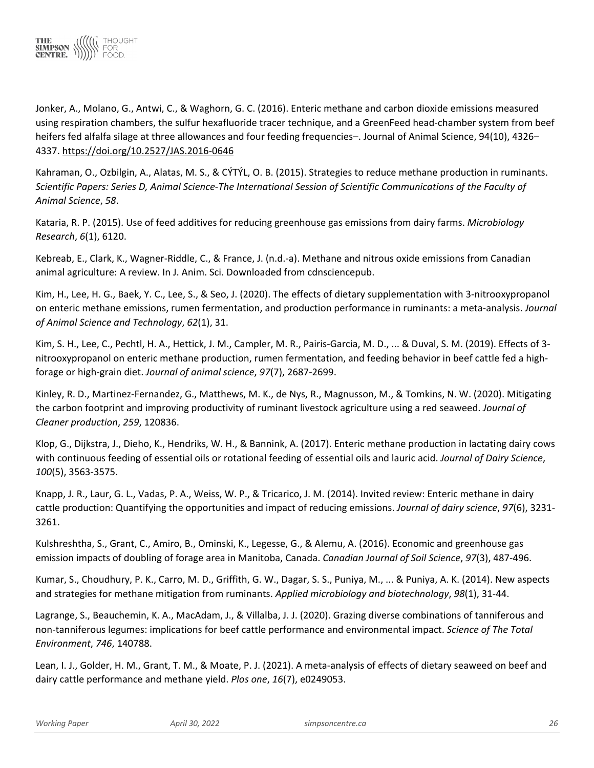

Jonker, A., Molano, G., Antwi, C., & Waghorn, G. C. (2016). Enteric methane and carbon dioxide emissions measured using respiration chambers, the sulfur hexafluoride tracer technique, and a GreenFeed head-chamber system from beef heifers fed alfalfa silage at three allowances and four feeding frequencies–. Journal of Animal Science, 94(10), 4326– 4337.<https://doi.org/10.2527/JAS.2016-0646>

Kahraman, O., Ozbilgin, A., Alatas, M. S., & CÝTÝL, O. B. (2015). Strategies to reduce methane production in ruminants. *Scientific Papers: Series D, Animal Science-The International Session of Scientific Communications of the Faculty of Animal Science*, *58*.

Kataria, R. P. (2015). Use of feed additives for reducing greenhouse gas emissions from dairy farms. *Microbiology Research*, *6*(1), 6120.

Kebreab, E., Clark, K., Wagner-Riddle, C., & France, J. (n.d.-a). Methane and nitrous oxide emissions from Canadian animal agriculture: A review. In J. Anim. Sci. Downloaded from cdnsciencepub.

Kim, H., Lee, H. G., Baek, Y. C., Lee, S., & Seo, J. (2020). The effects of dietary supplementation with 3-nitrooxypropanol on enteric methane emissions, rumen fermentation, and production performance in ruminants: a meta-analysis. *Journal of Animal Science and Technology*, *62*(1), 31.

Kim, S. H., Lee, C., Pechtl, H. A., Hettick, J. M., Campler, M. R., Pairis-Garcia, M. D., ... & Duval, S. M. (2019). Effects of 3 nitrooxypropanol on enteric methane production, rumen fermentation, and feeding behavior in beef cattle fed a highforage or high-grain diet. *Journal of animal science*, *97*(7), 2687-2699.

Kinley, R. D., Martinez-Fernandez, G., Matthews, M. K., de Nys, R., Magnusson, M., & Tomkins, N. W. (2020). Mitigating the carbon footprint and improving productivity of ruminant livestock agriculture using a red seaweed. *Journal of Cleaner production*, *259*, 120836.

Klop, G., Dijkstra, J., Dieho, K., Hendriks, W. H., & Bannink, A. (2017). Enteric methane production in lactating dairy cows with continuous feeding of essential oils or rotational feeding of essential oils and lauric acid. *Journal of Dairy Science*, *100*(5), 3563-3575.

Knapp, J. R., Laur, G. L., Vadas, P. A., Weiss, W. P., & Tricarico, J. M. (2014). Invited review: Enteric methane in dairy cattle production: Quantifying the opportunities and impact of reducing emissions. *Journal of dairy science*, *97*(6), 3231- 3261.

Kulshreshtha, S., Grant, C., Amiro, B., Ominski, K., Legesse, G., & Alemu, A. (2016). Economic and greenhouse gas emission impacts of doubling of forage area in Manitoba, Canada. *Canadian Journal of Soil Science*, *97*(3), 487-496.

Kumar, S., Choudhury, P. K., Carro, M. D., Griffith, G. W., Dagar, S. S., Puniya, M., ... & Puniya, A. K. (2014). New aspects and strategies for methane mitigation from ruminants. *Applied microbiology and biotechnology*, *98*(1), 31-44.

Lagrange, S., Beauchemin, K. A., MacAdam, J., & Villalba, J. J. (2020). Grazing diverse combinations of tanniferous and non-tanniferous legumes: implications for beef cattle performance and environmental impact. *Science of The Total Environment*, *746*, 140788.

Lean, I. J., Golder, H. M., Grant, T. M., & Moate, P. J. (2021). A meta-analysis of effects of dietary seaweed on beef and dairy cattle performance and methane yield. *Plos one*, *16*(7), e0249053.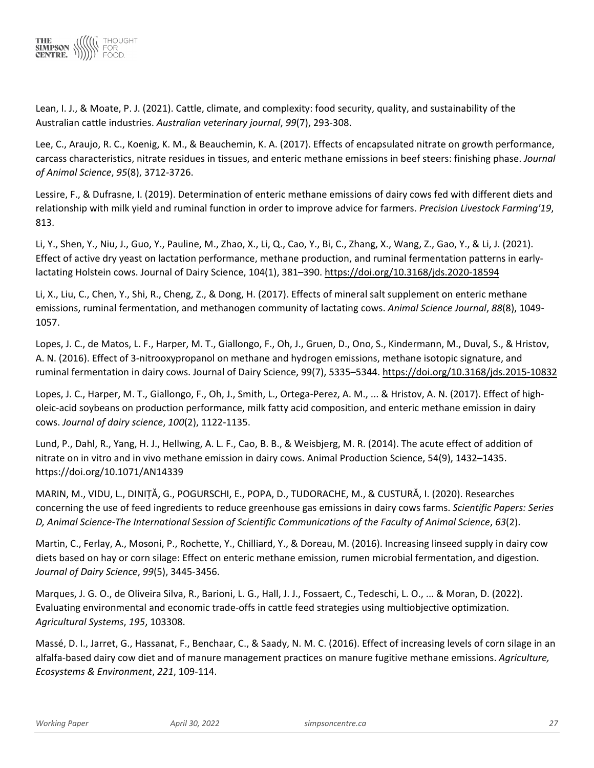

Lean, I. J., & Moate, P. J. (2021). Cattle, climate, and complexity: food security, quality, and sustainability of the Australian cattle industries. *Australian veterinary journal*, *99*(7), 293-308.

Lee, C., Araujo, R. C., Koenig, K. M., & Beauchemin, K. A. (2017). Effects of encapsulated nitrate on growth performance, carcass characteristics, nitrate residues in tissues, and enteric methane emissions in beef steers: finishing phase. *Journal of Animal Science*, *95*(8), 3712-3726.

Lessire, F., & Dufrasne, I. (2019). Determination of enteric methane emissions of dairy cows fed with different diets and relationship with milk yield and ruminal function in order to improve advice for farmers. *Precision Livestock Farming'19*, 813.

Li, Y., Shen, Y., Niu, J., Guo, Y., Pauline, M., Zhao, X., Li, Q., Cao, Y., Bi, C., Zhang, X., Wang, Z., Gao, Y., & Li, J. (2021). Effect of active dry yeast on lactation performance, methane production, and ruminal fermentation patterns in earlylactating Holstein cows. Journal of Dairy Science, 104(1), 381–390.<https://doi.org/10.3168/jds.2020-18594>

Li, X., Liu, C., Chen, Y., Shi, R., Cheng, Z., & Dong, H. (2017). Effects of mineral salt supplement on enteric methane emissions, ruminal fermentation, and methanogen community of lactating cows. *Animal Science Journal*, *88*(8), 1049- 1057.

Lopes, J. C., de Matos, L. F., Harper, M. T., Giallongo, F., Oh, J., Gruen, D., Ono, S., Kindermann, M., Duval, S., & Hristov, A. N. (2016). Effect of 3-nitrooxypropanol on methane and hydrogen emissions, methane isotopic signature, and ruminal fermentation in dairy cows. Journal of Dairy Science, 99(7), 5335–5344.<https://doi.org/10.3168/jds.2015-10832>

Lopes, J. C., Harper, M. T., Giallongo, F., Oh, J., Smith, L., Ortega-Perez, A. M., ... & Hristov, A. N. (2017). Effect of higholeic-acid soybeans on production performance, milk fatty acid composition, and enteric methane emission in dairy cows. *Journal of dairy science*, *100*(2), 1122-1135.

Lund, P., Dahl, R., Yang, H. J., Hellwing, A. L. F., Cao, B. B., & Weisbjerg, M. R. (2014). The acute effect of addition of nitrate on in vitro and in vivo methane emission in dairy cows. Animal Production Science, 54(9), 1432–1435. https://doi.org/10.1071/AN14339

MARIN, M., VIDU, L., DINIȚĂ, G., POGURSCHI, E., POPA, D., TUDORACHE, M., & CUSTURĂ, I. (2020). Researches concerning the use of feed ingredients to reduce greenhouse gas emissions in dairy cows farms. *Scientific Papers: Series D, Animal Science-The International Session of Scientific Communications of the Faculty of Animal Science*, *63*(2).

Martin, C., Ferlay, A., Mosoni, P., Rochette, Y., Chilliard, Y., & Doreau, M. (2016). Increasing linseed supply in dairy cow diets based on hay or corn silage: Effect on enteric methane emission, rumen microbial fermentation, and digestion. *Journal of Dairy Science*, *99*(5), 3445-3456.

Marques, J. G. O., de Oliveira Silva, R., Barioni, L. G., Hall, J. J., Fossaert, C., Tedeschi, L. O., ... & Moran, D. (2022). Evaluating environmental and economic trade-offs in cattle feed strategies using multiobjective optimization. *Agricultural Systems*, *195*, 103308.

Massé, D. I., Jarret, G., Hassanat, F., Benchaar, C., & Saady, N. M. C. (2016). Effect of increasing levels of corn silage in an alfalfa-based dairy cow diet and of manure management practices on manure fugitive methane emissions. *Agriculture, Ecosystems & Environment*, *221*, 109-114.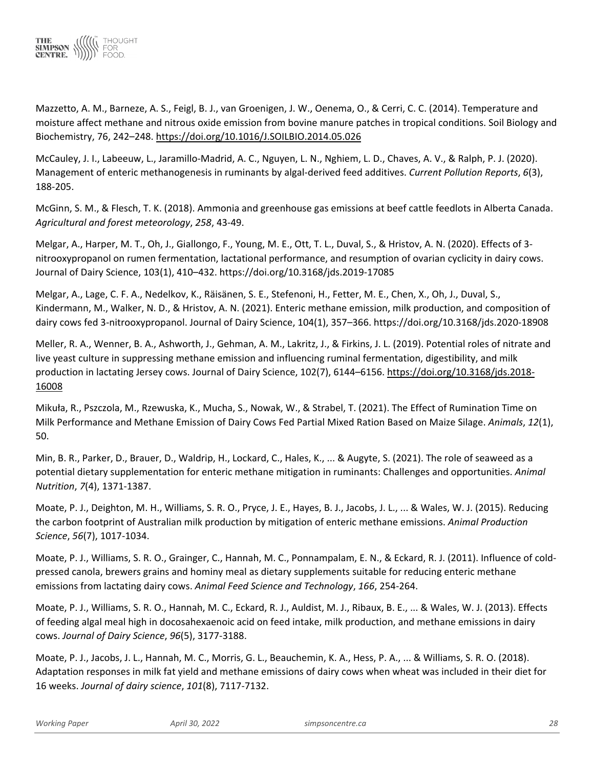

Mazzetto, A. M., Barneze, A. S., Feigl, B. J., van Groenigen, J. W., Oenema, O., & Cerri, C. C. (2014). Temperature and moisture affect methane and nitrous oxide emission from bovine manure patches in tropical conditions. Soil Biology and Biochemistry, 76, 242–248.<https://doi.org/10.1016/J.SOILBIO.2014.05.026>

McCauley, J. I., Labeeuw, L., Jaramillo-Madrid, A. C., Nguyen, L. N., Nghiem, L. D., Chaves, A. V., & Ralph, P. J. (2020). Management of enteric methanogenesis in ruminants by algal-derived feed additives. *Current Pollution Reports*, *6*(3), 188-205.

McGinn, S. M., & Flesch, T. K. (2018). Ammonia and greenhouse gas emissions at beef cattle feedlots in Alberta Canada. *Agricultural and forest meteorology*, *258*, 43-49.

Melgar, A., Harper, M. T., Oh, J., Giallongo, F., Young, M. E., Ott, T. L., Duval, S., & Hristov, A. N. (2020). Effects of 3 nitrooxypropanol on rumen fermentation, lactational performance, and resumption of ovarian cyclicity in dairy cows. Journal of Dairy Science, 103(1), 410–432. https://doi.org/10.3168/jds.2019-17085

Melgar, A., Lage, C. F. A., Nedelkov, K., Räisänen, S. E., Stefenoni, H., Fetter, M. E., Chen, X., Oh, J., Duval, S., Kindermann, M., Walker, N. D., & Hristov, A. N. (2021). Enteric methane emission, milk production, and composition of dairy cows fed 3-nitrooxypropanol. Journal of Dairy Science, 104(1), 357–366. https://doi.org/10.3168/jds.2020-18908

Meller, R. A., Wenner, B. A., Ashworth, J., Gehman, A. M., Lakritz, J., & Firkins, J. L. (2019). Potential roles of nitrate and live yeast culture in suppressing methane emission and influencing ruminal fermentation, digestibility, and milk production in lactating Jersey cows. Journal of Dairy Science, 102(7), 6144–6156. [https://doi.org/10.3168/jds.2018-](https://doi.org/10.3168/jds.2018-16008) [16008](https://doi.org/10.3168/jds.2018-16008)

Mikuła, R., Pszczola, M., Rzewuska, K., Mucha, S., Nowak, W., & Strabel, T. (2021). The Effect of Rumination Time on Milk Performance and Methane Emission of Dairy Cows Fed Partial Mixed Ration Based on Maize Silage. *Animals*, *12*(1), 50.

Min, B. R., Parker, D., Brauer, D., Waldrip, H., Lockard, C., Hales, K., ... & Augyte, S. (2021). The role of seaweed as a potential dietary supplementation for enteric methane mitigation in ruminants: Challenges and opportunities. *Animal Nutrition*, *7*(4), 1371-1387.

Moate, P. J., Deighton, M. H., Williams, S. R. O., Pryce, J. E., Hayes, B. J., Jacobs, J. L., ... & Wales, W. J. (2015). Reducing the carbon footprint of Australian milk production by mitigation of enteric methane emissions. *Animal Production Science*, *56*(7), 1017-1034.

Moate, P. J., Williams, S. R. O., Grainger, C., Hannah, M. C., Ponnampalam, E. N., & Eckard, R. J. (2011). Influence of coldpressed canola, brewers grains and hominy meal as dietary supplements suitable for reducing enteric methane emissions from lactating dairy cows. *Animal Feed Science and Technology*, *166*, 254-264.

Moate, P. J., Williams, S. R. O., Hannah, M. C., Eckard, R. J., Auldist, M. J., Ribaux, B. E., ... & Wales, W. J. (2013). Effects of feeding algal meal high in docosahexaenoic acid on feed intake, milk production, and methane emissions in dairy cows. *Journal of Dairy Science*, *96*(5), 3177-3188.

Moate, P. J., Jacobs, J. L., Hannah, M. C., Morris, G. L., Beauchemin, K. A., Hess, P. A., ... & Williams, S. R. O. (2018). Adaptation responses in milk fat yield and methane emissions of dairy cows when wheat was included in their diet for 16 weeks. *Journal of dairy science*, *101*(8), 7117-7132.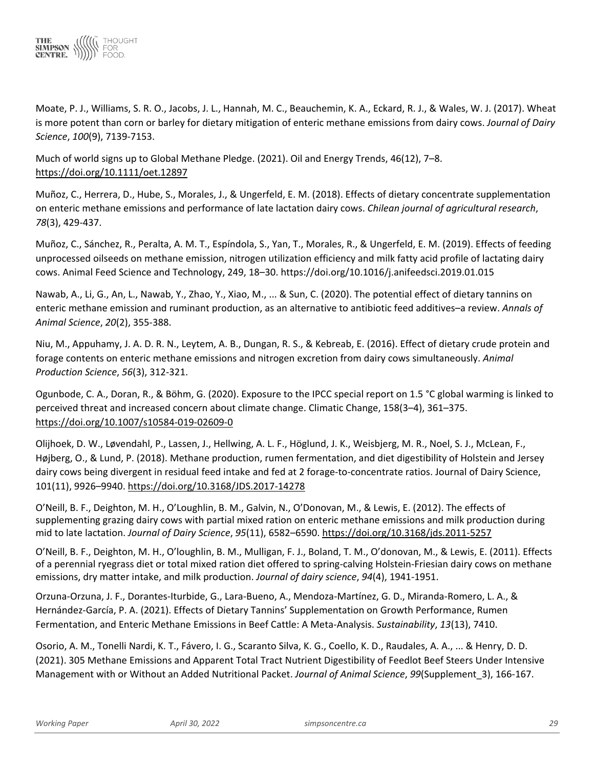

Moate, P. J., Williams, S. R. O., Jacobs, J. L., Hannah, M. C., Beauchemin, K. A., Eckard, R. J., & Wales, W. J. (2017). Wheat is more potent than corn or barley for dietary mitigation of enteric methane emissions from dairy cows. *Journal of Dairy Science*, *100*(9), 7139-7153.

Much of world signs up to Global Methane Pledge. (2021). Oil and Energy Trends, 46(12), 7–8. <https://doi.org/10.1111/oet.12897>

Muñoz, C., Herrera, D., Hube, S., Morales, J., & Ungerfeld, E. M. (2018). Effects of dietary concentrate supplementation on enteric methane emissions and performance of late lactation dairy cows. *Chilean journal of agricultural research*, *78*(3), 429-437.

Muñoz, C., Sánchez, R., Peralta, A. M. T., Espíndola, S., Yan, T., Morales, R., & Ungerfeld, E. M. (2019). Effects of feeding unprocessed oilseeds on methane emission, nitrogen utilization efficiency and milk fatty acid profile of lactating dairy cows. Animal Feed Science and Technology, 249, 18–30. https://doi.org/10.1016/j.anifeedsci.2019.01.015

Nawab, A., Li, G., An, L., Nawab, Y., Zhao, Y., Xiao, M., ... & Sun, C. (2020). The potential effect of dietary tannins on enteric methane emission and ruminant production, as an alternative to antibiotic feed additives–a review. *Annals of Animal Science*, *20*(2), 355-388.

Niu, M., Appuhamy, J. A. D. R. N., Leytem, A. B., Dungan, R. S., & Kebreab, E. (2016). Effect of dietary crude protein and forage contents on enteric methane emissions and nitrogen excretion from dairy cows simultaneously. *Animal Production Science*, *56*(3), 312-321.

Ogunbode, C. A., Doran, R., & Böhm, G. (2020). Exposure to the IPCC special report on 1.5 °C global warming is linked to perceived threat and increased concern about climate change. Climatic Change, 158(3–4), 361–375. <https://doi.org/10.1007/s10584-019-02609-0>

Olijhoek, D. W., Løvendahl, P., Lassen, J., Hellwing, A. L. F., Höglund, J. K., Weisbjerg, M. R., Noel, S. J., McLean, F., Højberg, O., & Lund, P. (2018). Methane production, rumen fermentation, and diet digestibility of Holstein and Jersey dairy cows being divergent in residual feed intake and fed at 2 forage-to-concentrate ratios. Journal of Dairy Science, 101(11), 9926–9940.<https://doi.org/10.3168/JDS.2017-14278>

O'Neill, B. F., Deighton, M. H., O'Loughlin, B. M., Galvin, N., O'Donovan, M., & Lewis, E. (2012). The effects of supplementing grazing dairy cows with partial mixed ration on enteric methane emissions and milk production during mid to late lactation. *Journal of Dairy Science*, *95*(11), 6582–6590.<https://doi.org/10.3168/jds.2011-5257>

O'Neill, B. F., Deighton, M. H., O'loughlin, B. M., Mulligan, F. J., Boland, T. M., O'donovan, M., & Lewis, E. (2011). Effects of a perennial ryegrass diet or total mixed ration diet offered to spring-calving Holstein-Friesian dairy cows on methane emissions, dry matter intake, and milk production. *Journal of dairy science*, *94*(4), 1941-1951.

Orzuna-Orzuna, J. F., Dorantes-Iturbide, G., Lara-Bueno, A., Mendoza-Martínez, G. D., Miranda-Romero, L. A., & Hernández-García, P. A. (2021). Effects of Dietary Tannins' Supplementation on Growth Performance, Rumen Fermentation, and Enteric Methane Emissions in Beef Cattle: A Meta-Analysis. *Sustainability*, *13*(13), 7410.

Osorio, A. M., Tonelli Nardi, K. T., Fávero, I. G., Scaranto Silva, K. G., Coello, K. D., Raudales, A. A., ... & Henry, D. D. (2021). 305 Methane Emissions and Apparent Total Tract Nutrient Digestibility of Feedlot Beef Steers Under Intensive Management with or Without an Added Nutritional Packet. *Journal of Animal Science*, *99*(Supplement\_3), 166-167.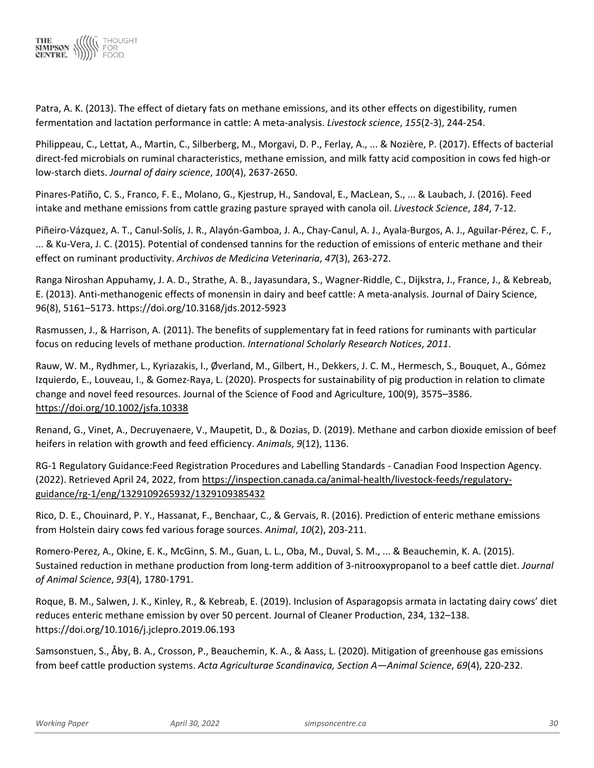

Patra, A. K. (2013). The effect of dietary fats on methane emissions, and its other effects on digestibility, rumen fermentation and lactation performance in cattle: A meta-analysis. *Livestock science*, *155*(2-3), 244-254.

Philippeau, C., Lettat, A., Martin, C., Silberberg, M., Morgavi, D. P., Ferlay, A., ... & Nozière, P. (2017). Effects of bacterial direct-fed microbials on ruminal characteristics, methane emission, and milk fatty acid composition in cows fed high-or low-starch diets. *Journal of dairy science*, *100*(4), 2637-2650.

Pinares-Patiño, C. S., Franco, F. E., Molano, G., Kjestrup, H., Sandoval, E., MacLean, S., ... & Laubach, J. (2016). Feed intake and methane emissions from cattle grazing pasture sprayed with canola oil. *Livestock Science*, *184*, 7-12.

Piñeiro-Vázquez, A. T., Canul-Solís, J. R., Alayón-Gamboa, J. A., Chay-Canul, A. J., Ayala-Burgos, A. J., Aguilar-Pérez, C. F., ... & Ku-Vera, J. C. (2015). Potential of condensed tannins for the reduction of emissions of enteric methane and their effect on ruminant productivity. *Archivos de Medicina Veterinaria*, *47*(3), 263-272.

Ranga Niroshan Appuhamy, J. A. D., Strathe, A. B., Jayasundara, S., Wagner-Riddle, C., Dijkstra, J., France, J., & Kebreab, E. (2013). Anti-methanogenic effects of monensin in dairy and beef cattle: A meta-analysis. Journal of Dairy Science, 96(8), 5161–5173. https://doi.org/10.3168/jds.2012-5923

Rasmussen, J., & Harrison, A. (2011). The benefits of supplementary fat in feed rations for ruminants with particular focus on reducing levels of methane production. *International Scholarly Research Notices*, *2011*.

Rauw, W. M., Rydhmer, L., Kyriazakis, I., Øverland, M., Gilbert, H., Dekkers, J. C. M., Hermesch, S., Bouquet, A., Gómez Izquierdo, E., Louveau, I., & Gomez-Raya, L. (2020). Prospects for sustainability of pig production in relation to climate change and novel feed resources. Journal of the Science of Food and Agriculture, 100(9), 3575–3586. <https://doi.org/10.1002/jsfa.10338>

Renand, G., Vinet, A., Decruyenaere, V., Maupetit, D., & Dozias, D. (2019). Methane and carbon dioxide emission of beef heifers in relation with growth and feed efficiency. *Animals*, *9*(12), 1136.

RG-1 Regulatory Guidance:Feed Registration Procedures and Labelling Standards - Canadian Food Inspection Agency. (2022). Retrieved April 24, 2022, from [https://inspection.canada.ca/animal-health/livestock-feeds/regulatory](https://inspection.canada.ca/animal-health/livestock-feeds/regulatory-guidance/rg-1/eng/1329109265932/1329109385432)[guidance/rg-1/eng/1329109265932/1329109385432](https://inspection.canada.ca/animal-health/livestock-feeds/regulatory-guidance/rg-1/eng/1329109265932/1329109385432)

Rico, D. E., Chouinard, P. Y., Hassanat, F., Benchaar, C., & Gervais, R. (2016). Prediction of enteric methane emissions from Holstein dairy cows fed various forage sources. *Animal*, *10*(2), 203-211.

Romero-Perez, A., Okine, E. K., McGinn, S. M., Guan, L. L., Oba, M., Duval, S. M., ... & Beauchemin, K. A. (2015). Sustained reduction in methane production from long-term addition of 3-nitrooxypropanol to a beef cattle diet. *Journal of Animal Science*, *93*(4), 1780-1791.

Roque, B. M., Salwen, J. K., Kinley, R., & Kebreab, E. (2019). Inclusion of Asparagopsis armata in lactating dairy cows' diet reduces enteric methane emission by over 50 percent. Journal of Cleaner Production, 234, 132–138. https://doi.org/10.1016/j.jclepro.2019.06.193

Samsonstuen, S., Åby, B. A., Crosson, P., Beauchemin, K. A., & Aass, L. (2020). Mitigation of greenhouse gas emissions from beef cattle production systems. *Acta Agriculturae Scandinavica, Section A—Animal Science*, *69*(4), 220-232.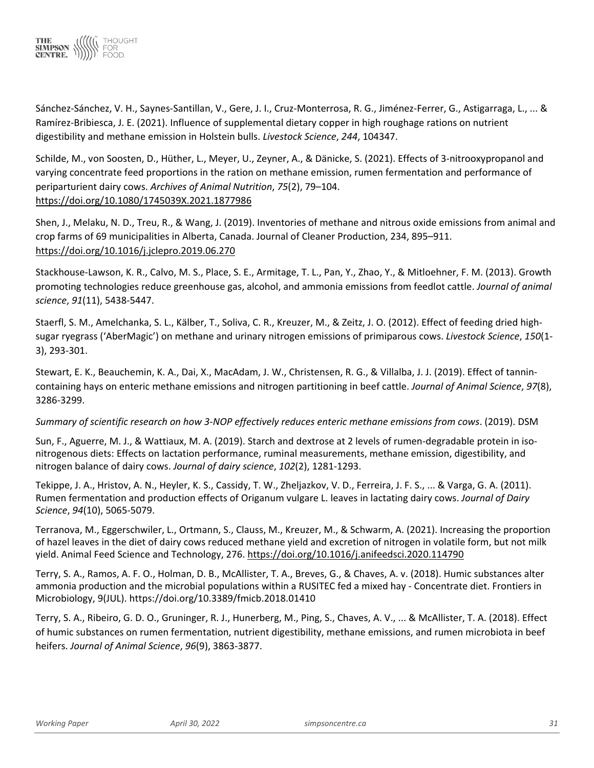

Sánchez-Sánchez, V. H., Saynes-Santillan, V., Gere, J. I., Cruz-Monterrosa, R. G., Jiménez-Ferrer, G., Astigarraga, L., ... & Ramírez-Bribiesca, J. E. (2021). Influence of supplemental dietary copper in high roughage rations on nutrient digestibility and methane emission in Holstein bulls. *Livestock Science*, *244*, 104347.

Schilde, M., von Soosten, D., Hüther, L., Meyer, U., Zeyner, A., & Dänicke, S. (2021). Effects of 3-nitrooxypropanol and varying concentrate feed proportions in the ration on methane emission, rumen fermentation and performance of periparturient dairy cows. *Archives of Animal Nutrition*, *75*(2), 79–104. <https://doi.org/10.1080/1745039X.2021.1877986>

Shen, J., Melaku, N. D., Treu, R., & Wang, J. (2019). Inventories of methane and nitrous oxide emissions from animal and crop farms of 69 municipalities in Alberta, Canada. Journal of Cleaner Production, 234, 895–911. <https://doi.org/10.1016/j.jclepro.2019.06.270>

Stackhouse-Lawson, K. R., Calvo, M. S., Place, S. E., Armitage, T. L., Pan, Y., Zhao, Y., & Mitloehner, F. M. (2013). Growth promoting technologies reduce greenhouse gas, alcohol, and ammonia emissions from feedlot cattle. *Journal of animal science*, *91*(11), 5438-5447.

Staerfl, S. M., Amelchanka, S. L., Kälber, T., Soliva, C. R., Kreuzer, M., & Zeitz, J. O. (2012). Effect of feeding dried highsugar ryegrass ('AberMagic') on methane and urinary nitrogen emissions of primiparous cows. *Livestock Science*, *150*(1- 3), 293-301.

Stewart, E. K., Beauchemin, K. A., Dai, X., MacAdam, J. W., Christensen, R. G., & Villalba, J. J. (2019). Effect of tannincontaining hays on enteric methane emissions and nitrogen partitioning in beef cattle. *Journal of Animal Science*, *97*(8), 3286-3299.

# *Summary of scientific research on how 3-NOP effectively reduces enteric methane emissions from cows*. (2019). DSM

Sun, F., Aguerre, M. J., & Wattiaux, M. A. (2019). Starch and dextrose at 2 levels of rumen-degradable protein in isonitrogenous diets: Effects on lactation performance, ruminal measurements, methane emission, digestibility, and nitrogen balance of dairy cows. *Journal of dairy science*, *102*(2), 1281-1293.

Tekippe, J. A., Hristov, A. N., Heyler, K. S., Cassidy, T. W., Zheljazkov, V. D., Ferreira, J. F. S., ... & Varga, G. A. (2011). Rumen fermentation and production effects of Origanum vulgare L. leaves in lactating dairy cows. *Journal of Dairy Science*, *94*(10), 5065-5079.

Terranova, M., Eggerschwiler, L., Ortmann, S., Clauss, M., Kreuzer, M., & Schwarm, A. (2021). Increasing the proportion of hazel leaves in the diet of dairy cows reduced methane yield and excretion of nitrogen in volatile form, but not milk yield. Animal Feed Science and Technology, 276.<https://doi.org/10.1016/j.anifeedsci.2020.114790>

Terry, S. A., Ramos, A. F. O., Holman, D. B., McAllister, T. A., Breves, G., & Chaves, A. v. (2018). Humic substances alter ammonia production and the microbial populations within a RUSITEC fed a mixed hay - Concentrate diet. Frontiers in Microbiology, 9(JUL). https://doi.org/10.3389/fmicb.2018.01410

Terry, S. A., Ribeiro, G. D. O., Gruninger, R. J., Hunerberg, M., Ping, S., Chaves, A. V., ... & McAllister, T. A. (2018). Effect of humic substances on rumen fermentation, nutrient digestibility, methane emissions, and rumen microbiota in beef heifers. *Journal of Animal Science*, *96*(9), 3863-3877.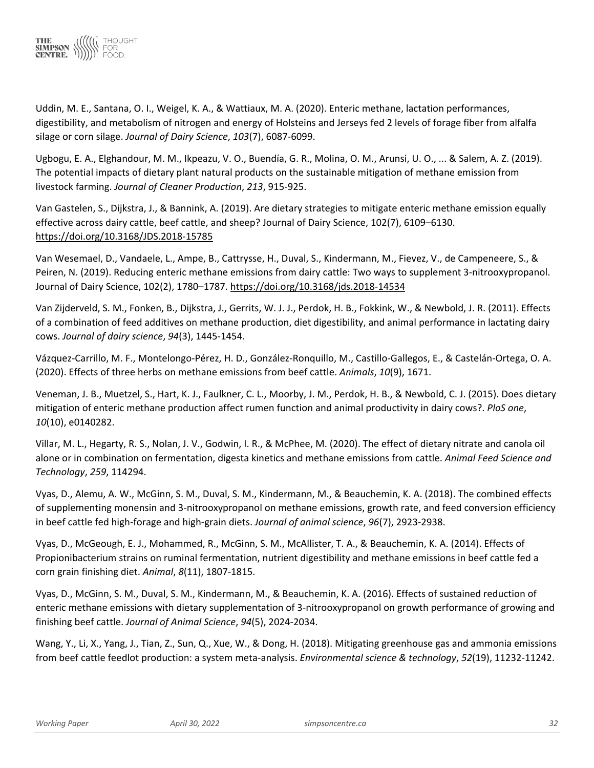

Uddin, M. E., Santana, O. I., Weigel, K. A., & Wattiaux, M. A. (2020). Enteric methane, lactation performances, digestibility, and metabolism of nitrogen and energy of Holsteins and Jerseys fed 2 levels of forage fiber from alfalfa silage or corn silage. *Journal of Dairy Science*, *103*(7), 6087-6099.

Ugbogu, E. A., Elghandour, M. M., Ikpeazu, V. O., Buendía, G. R., Molina, O. M., Arunsi, U. O., ... & Salem, A. Z. (2019). The potential impacts of dietary plant natural products on the sustainable mitigation of methane emission from livestock farming. *Journal of Cleaner Production*, *213*, 915-925.

Van Gastelen, S., Dijkstra, J., & Bannink, A. (2019). Are dietary strategies to mitigate enteric methane emission equally effective across dairy cattle, beef cattle, and sheep? Journal of Dairy Science, 102(7), 6109–6130. <https://doi.org/10.3168/JDS.2018-15785>

Van Wesemael, D., Vandaele, L., Ampe, B., Cattrysse, H., Duval, S., Kindermann, M., Fievez, V., de Campeneere, S., & Peiren, N. (2019). Reducing enteric methane emissions from dairy cattle: Two ways to supplement 3-nitrooxypropanol. Journal of Dairy Science, 102(2), 1780–1787[. https://doi.org/10.3168/jds.2018-14534](https://doi.org/10.3168/jds.2018-14534)

Van Zijderveld, S. M., Fonken, B., Dijkstra, J., Gerrits, W. J. J., Perdok, H. B., Fokkink, W., & Newbold, J. R. (2011). Effects of a combination of feed additives on methane production, diet digestibility, and animal performance in lactating dairy cows. *Journal of dairy science*, *94*(3), 1445-1454.

Vázquez-Carrillo, M. F., Montelongo-Pérez, H. D., González-Ronquillo, M., Castillo-Gallegos, E., & Castelán-Ortega, O. A. (2020). Effects of three herbs on methane emissions from beef cattle. *Animals*, *10*(9), 1671.

Veneman, J. B., Muetzel, S., Hart, K. J., Faulkner, C. L., Moorby, J. M., Perdok, H. B., & Newbold, C. J. (2015). Does dietary mitigation of enteric methane production affect rumen function and animal productivity in dairy cows?. *PloS one*, *10*(10), e0140282.

Villar, M. L., Hegarty, R. S., Nolan, J. V., Godwin, I. R., & McPhee, M. (2020). The effect of dietary nitrate and canola oil alone or in combination on fermentation, digesta kinetics and methane emissions from cattle. *Animal Feed Science and Technology*, *259*, 114294.

Vyas, D., Alemu, A. W., McGinn, S. M., Duval, S. M., Kindermann, M., & Beauchemin, K. A. (2018). The combined effects of supplementing monensin and 3-nitrooxypropanol on methane emissions, growth rate, and feed conversion efficiency in beef cattle fed high-forage and high-grain diets. *Journal of animal science*, *96*(7), 2923-2938.

Vyas, D., McGeough, E. J., Mohammed, R., McGinn, S. M., McAllister, T. A., & Beauchemin, K. A. (2014). Effects of Propionibacterium strains on ruminal fermentation, nutrient digestibility and methane emissions in beef cattle fed a corn grain finishing diet. *Animal*, *8*(11), 1807-1815.

Vyas, D., McGinn, S. M., Duval, S. M., Kindermann, M., & Beauchemin, K. A. (2016). Effects of sustained reduction of enteric methane emissions with dietary supplementation of 3-nitrooxypropanol on growth performance of growing and finishing beef cattle. *Journal of Animal Science*, *94*(5), 2024-2034.

Wang, Y., Li, X., Yang, J., Tian, Z., Sun, Q., Xue, W., & Dong, H. (2018). Mitigating greenhouse gas and ammonia emissions from beef cattle feedlot production: a system meta-analysis. *Environmental science & technology*, *52*(19), 11232-11242.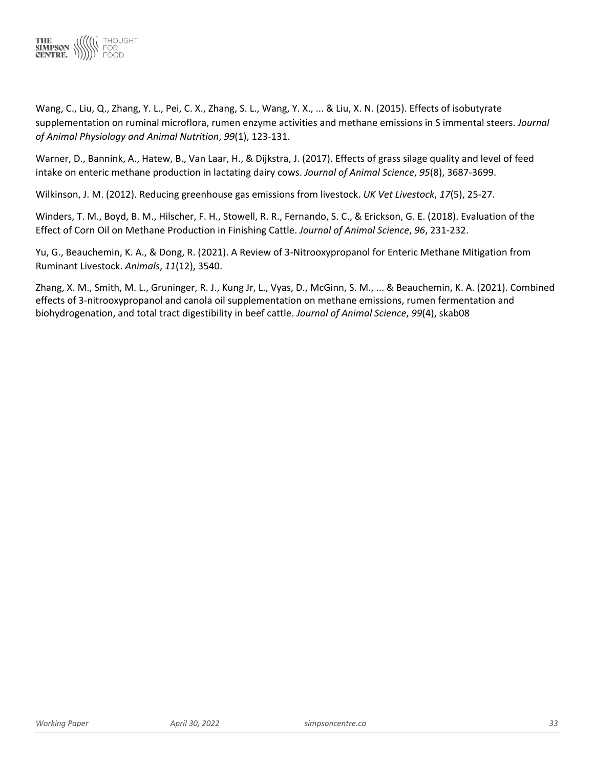

Wang, C., Liu, Q., Zhang, Y. L., Pei, C. X., Zhang, S. L., Wang, Y. X., ... & Liu, X. N. (2015). Effects of isobutyrate supplementation on ruminal microflora, rumen enzyme activities and methane emissions in S immental steers. *Journal of Animal Physiology and Animal Nutrition*, *99*(1), 123-131.

Warner, D., Bannink, A., Hatew, B., Van Laar, H., & Dijkstra, J. (2017). Effects of grass silage quality and level of feed intake on enteric methane production in lactating dairy cows. *Journal of Animal Science*, *95*(8), 3687-3699.

Wilkinson, J. M. (2012). Reducing greenhouse gas emissions from livestock. *UK Vet Livestock*, *17*(5), 25-27.

Winders, T. M., Boyd, B. M., Hilscher, F. H., Stowell, R. R., Fernando, S. C., & Erickson, G. E. (2018). Evaluation of the Effect of Corn Oil on Methane Production in Finishing Cattle. *Journal of Animal Science*, *96*, 231-232.

Yu, G., Beauchemin, K. A., & Dong, R. (2021). A Review of 3-Nitrooxypropanol for Enteric Methane Mitigation from Ruminant Livestock. *Animals*, *11*(12), 3540.

Zhang, X. M., Smith, M. L., Gruninger, R. J., Kung Jr, L., Vyas, D., McGinn, S. M., ... & Beauchemin, K. A. (2021). Combined effects of 3-nitrooxypropanol and canola oil supplementation on methane emissions, rumen fermentation and biohydrogenation, and total tract digestibility in beef cattle. *Journal of Animal Science*, *99*(4), skab08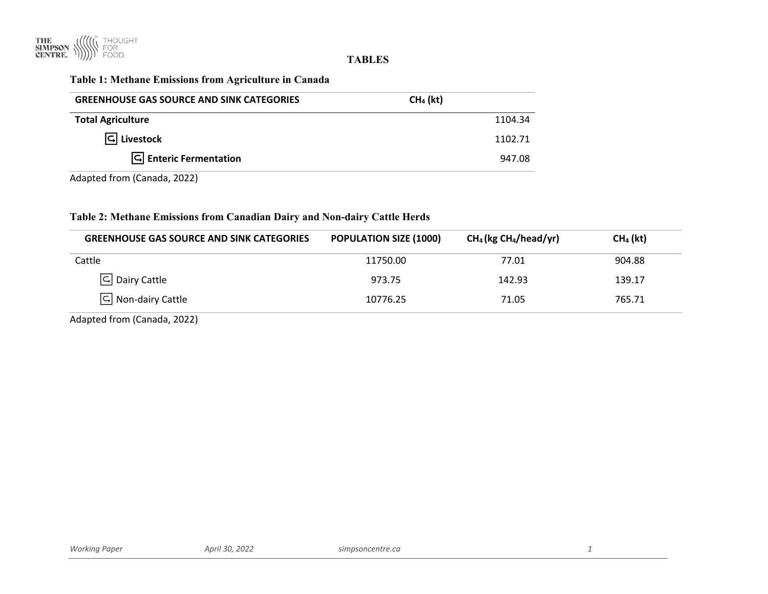

#### **TABLES**

# **Table 1: Methane Emissions from Agriculture in Canada**

| <b>GREENHOUSE GAS SOURCE AND SINK CATEGORIES</b>     | $CH4$ (kt) |
|------------------------------------------------------|------------|
| <b>Total Agriculture</b>                             | 1104.34    |
| $\boxed{\mathsf{G}}$ Livestock                       | 1102.71    |
| $\boxed{\overline{\mathsf{G}}}$ Enteric Fermentation | 947.08     |

Adapted from (Canada, 2022)

#### **Table 2: Methane Emissions from Canadian Dairy and Non-dairy Cattle Herds**

|          | $CH_4$ (kg CH <sub>4</sub> /head/yr) | $CH4$ (kt) |
|----------|--------------------------------------|------------|
| 11750.00 | 77.01                                | 904.88     |
| 973.75   | 142.93                               | 139.17     |
| 10776.25 | 71.05                                | 765.71     |
|          |                                      |            |

Adapted from (Canada, 2022)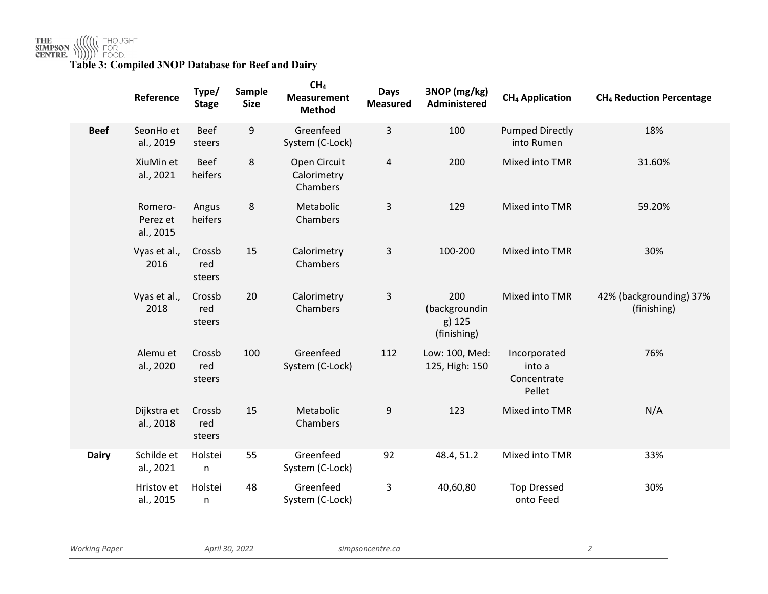**THE<br>SIMPSON ((((((((((((((((((((((()))**<br>CENTRE. ())))))) FOOD.<br>**Table 3: Compiled 3NOP Database for Beef and Dairy** 

|              | Reference                        | Type/<br><b>Stage</b>   | Sample<br><b>Size</b> | CH <sub>4</sub><br><b>Measurement</b><br><b>Method</b> | <b>Days</b><br><b>Measured</b> | 3NOP (mg/kg)<br>Administered                  | <b>CH<sub>4</sub> Application</b>               | <b>CH<sub>4</sub> Reduction Percentage</b> |
|--------------|----------------------------------|-------------------------|-----------------------|--------------------------------------------------------|--------------------------------|-----------------------------------------------|-------------------------------------------------|--------------------------------------------|
| <b>Beef</b>  | SeonHo et<br>al., 2019           | <b>Beef</b><br>steers   | 9                     | Greenfeed<br>System (C-Lock)                           | 3                              | 100                                           | <b>Pumped Directly</b><br>into Rumen            | 18%                                        |
|              | XiuMin et<br>al., 2021           | <b>Beef</b><br>heifers  | 8                     | Open Circuit<br>Calorimetry<br>Chambers                | $\overline{4}$                 | 200                                           | Mixed into TMR                                  | 31.60%                                     |
|              | Romero-<br>Perez et<br>al., 2015 | Angus<br>heifers        | 8                     | Metabolic<br>Chambers                                  | 3                              | 129                                           | Mixed into TMR                                  | 59.20%                                     |
|              | Vyas et al.,<br>2016             | Crossb<br>red<br>steers | 15                    | Calorimetry<br>Chambers                                | 3                              | 100-200                                       | Mixed into TMR                                  | 30%                                        |
|              | Vyas et al.,<br>2018             | Crossb<br>red<br>steers | 20                    | Calorimetry<br>Chambers                                | 3                              | 200<br>(backgroundin<br>g) 125<br>(finishing) | Mixed into TMR                                  | 42% (backgrounding) 37%<br>(finishing)     |
|              | Alemu et<br>al., 2020            | Crossb<br>red<br>steers | 100                   | Greenfeed<br>System (C-Lock)                           | 112                            | Low: 100, Med:<br>125, High: 150              | Incorporated<br>into a<br>Concentrate<br>Pellet | 76%                                        |
|              | Dijkstra et<br>al., 2018         | Crossb<br>red<br>steers | 15                    | Metabolic<br>Chambers                                  | 9                              | 123                                           | Mixed into TMR                                  | N/A                                        |
| <b>Dairy</b> | Schilde et<br>al., 2021          | Holstei<br>n            | 55                    | Greenfeed<br>System (C-Lock)                           | 92                             | 48.4, 51.2                                    | Mixed into TMR                                  | 33%                                        |
|              | Hristov et<br>al., 2015          | Holstei<br>n            | 48                    | Greenfeed<br>System (C-Lock)                           | 3                              | 40,60,80                                      | <b>Top Dressed</b><br>onto Feed                 | 30%                                        |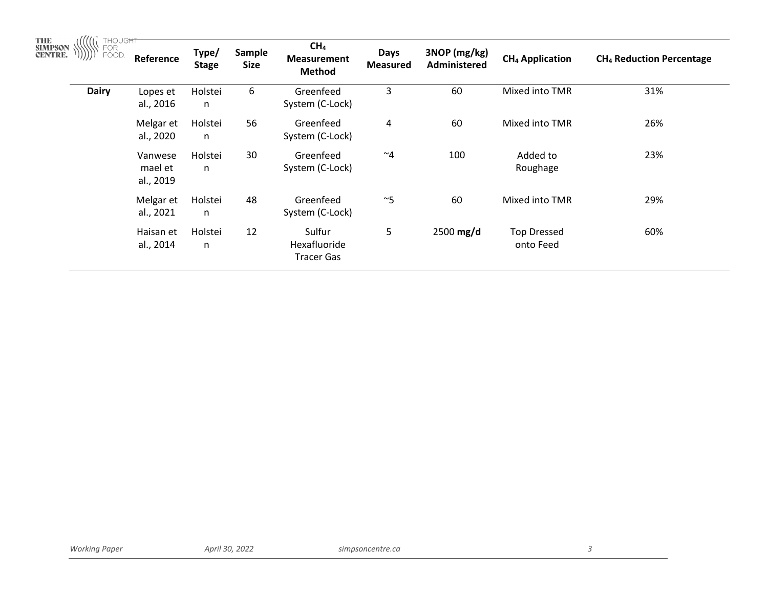| THE<br>SIMPSON<br>CENTRE.<br>THOUGHT<br>FOR<br>FOOD. | Reference                       | Type/<br><b>Stage</b> | Sample<br><b>Size</b> | CH <sub>4</sub><br><b>Measurement</b><br><b>Method</b> | <b>Days</b><br><b>Measured</b> | 3NOP (mg/kg)<br><b>Administered</b> | <b>CH<sub>4</sub> Application</b> | <b>CH<sub>4</sub> Reduction Percentage</b> |
|------------------------------------------------------|---------------------------------|-----------------------|-----------------------|--------------------------------------------------------|--------------------------------|-------------------------------------|-----------------------------------|--------------------------------------------|
| <b>Dairy</b>                                         | Lopes et<br>al., 2016           | Holstei<br>n          | 6                     | Greenfeed<br>System (C-Lock)                           | 3                              | 60                                  | Mixed into TMR                    | 31%                                        |
|                                                      | Melgar et<br>al., 2020          | Holstei<br>n          | 56                    | Greenfeed<br>System (C-Lock)                           | 4                              | 60                                  | Mixed into TMR                    | 26%                                        |
|                                                      | Vanwese<br>mael et<br>al., 2019 | Holstei<br>n          | 30                    | Greenfeed<br>System (C-Lock)                           | $~\sim$ 4                      | 100                                 | Added to<br>Roughage              | 23%                                        |
|                                                      | Melgar et<br>al., 2021          | Holstei<br>n          | 48                    | Greenfeed<br>System (C-Lock)                           | $~\sim$ 5                      | 60                                  | Mixed into TMR                    | 29%                                        |
|                                                      | Haisan et<br>al., 2014          | Holstei<br>n          | 12                    | Sulfur<br>Hexafluoride<br><b>Tracer Gas</b>            | 5                              | $2500$ mg/d                         | <b>Top Dressed</b><br>onto Feed   | 60%                                        |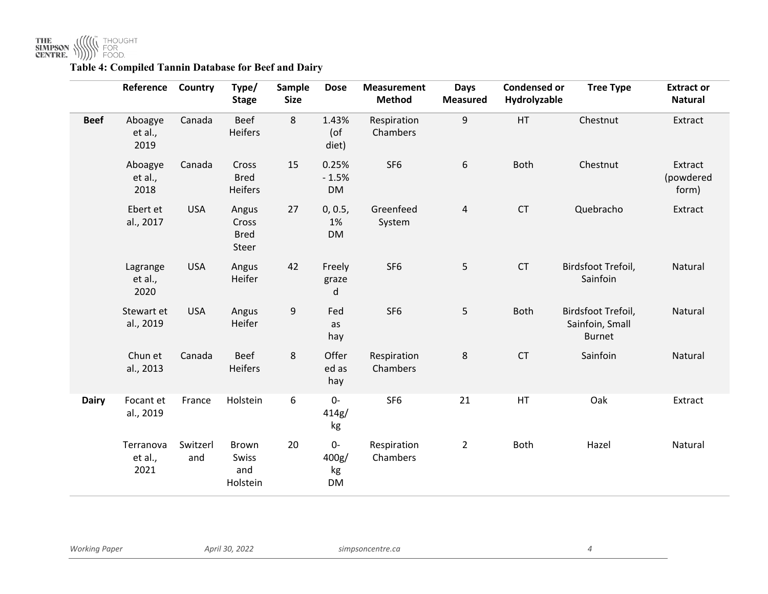

# **Table 4: Compiled Tannin Database for Beef and Dairy**

|              | Reference                    | Country         | Type/<br><b>Stage</b>                    | Sample<br><b>Size</b> | <b>Dose</b>                | <b>Measurement</b><br><b>Method</b> | <b>Days</b><br><b>Measured</b> | <b>Condensed or</b><br>Hydrolyzable | <b>Tree Type</b>                                       | <b>Extract or</b><br><b>Natural</b> |
|--------------|------------------------------|-----------------|------------------------------------------|-----------------------|----------------------------|-------------------------------------|--------------------------------|-------------------------------------|--------------------------------------------------------|-------------------------------------|
| <b>Beef</b>  | Aboagye<br>et al.,<br>2019   | Canada          | <b>Beef</b><br><b>Heifers</b>            | 8                     | 1.43%<br>$($ of<br>diet)   | Respiration<br>Chambers             | 9                              | HT                                  | Chestnut                                               | Extract                             |
|              | Aboagye<br>et al.,<br>2018   | Canada          | Cross<br><b>Bred</b><br><b>Heifers</b>   | 15                    | 0.25%<br>$-1.5%$<br>DM     | SF <sub>6</sub>                     | 6                              | <b>Both</b>                         | Chestnut                                               | Extract<br>(powdered<br>form)       |
|              | Ebert et<br>al., 2017        | <b>USA</b>      | Angus<br>Cross<br><b>Bred</b><br>Steer   | 27                    | 0, 0.5,<br>1%<br><b>DM</b> | Greenfeed<br>System                 | $\overline{\mathbf{4}}$        | <b>CT</b>                           | Quebracho                                              | Extract                             |
|              | Lagrange<br>et al.,<br>2020  | <b>USA</b>      | Angus<br>Heifer                          | 42                    | Freely<br>graze<br>d       | SF <sub>6</sub>                     | 5                              | <b>CT</b>                           | Birdsfoot Trefoil,<br>Sainfoin                         | Natural                             |
|              | Stewart et<br>al., 2019      | <b>USA</b>      | Angus<br>Heifer                          | 9                     | Fed<br>as<br>hay           | SF <sub>6</sub>                     | 5                              | <b>Both</b>                         | Birdsfoot Trefoil,<br>Sainfoin, Small<br><b>Burnet</b> | Natural                             |
|              | Chun et<br>al., 2013         | Canada          | <b>Beef</b><br>Heifers                   | 8                     | Offer<br>ed as<br>hay      | Respiration<br>Chambers             | 8                              | <b>CT</b>                           | Sainfoin                                               | Natural                             |
| <b>Dairy</b> | Focant et<br>al., 2019       | France          | Holstein                                 | 6                     | $0-$<br>414g/<br>kg        | SF <sub>6</sub>                     | 21                             | HT                                  | Oak                                                    | Extract                             |
|              | Terranova<br>et al.,<br>2021 | Switzerl<br>and | <b>Brown</b><br>Swiss<br>and<br>Holstein | 20                    | 0-<br>400g/<br>kg<br>DM    | Respiration<br>Chambers             | $\overline{2}$                 | Both                                | Hazel                                                  | Natural                             |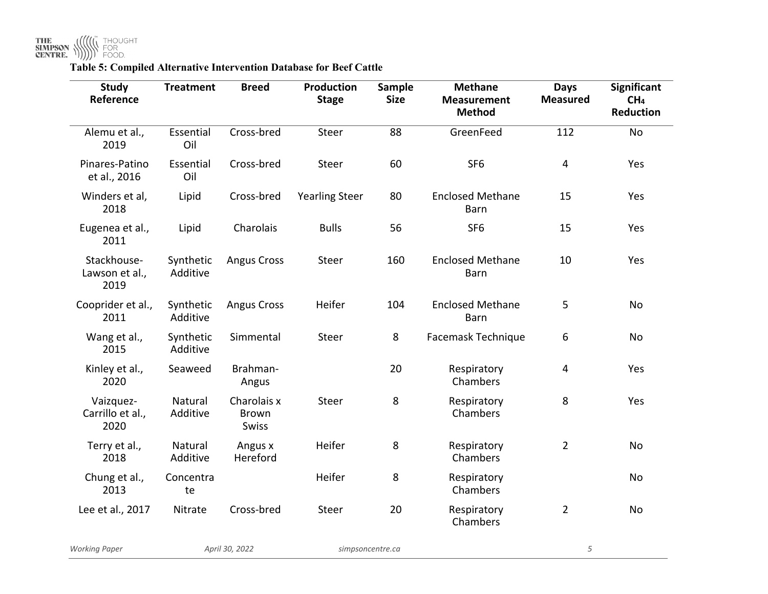| <b>Study</b><br>Reference             | <b>Treatment</b>      | <b>Breed</b>                                | <b>Production</b><br><b>Stage</b> | <b>Sample</b><br><b>Size</b> | <b>Methane</b><br><b>Measurement</b><br><b>Method</b> | <b>Days</b><br><b>Measured</b> | <b>Significant</b><br>CH <sub>4</sub><br><b>Reduction</b> |
|---------------------------------------|-----------------------|---------------------------------------------|-----------------------------------|------------------------------|-------------------------------------------------------|--------------------------------|-----------------------------------------------------------|
| Alemu et al.,<br>2019                 | Essential<br>Oil      | Cross-bred                                  | Steer                             | 88                           | GreenFeed                                             | 112                            | <b>No</b>                                                 |
| Pinares-Patino<br>et al., 2016        | Essential<br>Oil      | Cross-bred                                  | Steer                             | 60                           | SF <sub>6</sub>                                       | $\overline{4}$                 | Yes                                                       |
| Winders et al,<br>2018                | Lipid                 | Cross-bred                                  | <b>Yearling Steer</b>             | 80                           | <b>Enclosed Methane</b><br>Barn                       | 15                             | Yes                                                       |
| Eugenea et al.,<br>2011               | Lipid                 | Charolais                                   | <b>Bulls</b>                      | 56                           | SF <sub>6</sub>                                       | 15                             | Yes                                                       |
| Stackhouse-<br>Lawson et al.,<br>2019 | Synthetic<br>Additive | <b>Angus Cross</b>                          | Steer                             | 160                          | <b>Enclosed Methane</b><br><b>Barn</b>                | 10                             | Yes                                                       |
| Cooprider et al.,<br>2011             | Synthetic<br>Additive | <b>Angus Cross</b>                          | Heifer                            | 104                          | <b>Enclosed Methane</b><br>Barn                       | 5                              | No                                                        |
| Wang et al.,<br>2015                  | Synthetic<br>Additive | Simmental                                   | Steer                             | 8                            | Facemask Technique                                    | 6                              | No                                                        |
| Kinley et al.,<br>2020                | Seaweed               | Brahman-<br>Angus                           |                                   | 20                           | Respiratory<br>Chambers                               | 4                              | Yes                                                       |
| Vaizquez-<br>Carrillo et al.,<br>2020 | Natural<br>Additive   | Charolais x<br><b>Brown</b><br><b>Swiss</b> | Steer                             | 8                            | Respiratory<br>Chambers                               | 8                              | Yes                                                       |
| Terry et al.,<br>2018                 | Natural<br>Additive   | Angus x<br>Hereford                         | Heifer                            | $\,8\,$                      | Respiratory<br>Chambers                               | $\overline{2}$                 | No                                                        |
| Chung et al.,<br>2013                 | Concentra<br>te       |                                             | Heifer                            | 8                            | Respiratory<br>Chambers                               |                                | No                                                        |
| Lee et al., 2017                      | Nitrate               | Cross-bred                                  | Steer                             | 20                           | Respiratory<br>Chambers                               | $\overline{2}$                 | No                                                        |
| <b>Working Paper</b>                  |                       | April 30, 2022                              | simpsoncentre.ca                  |                              |                                                       | 5                              |                                                           |

**Table 5: Compiled Alternative Intervention Database for Beef Cattle**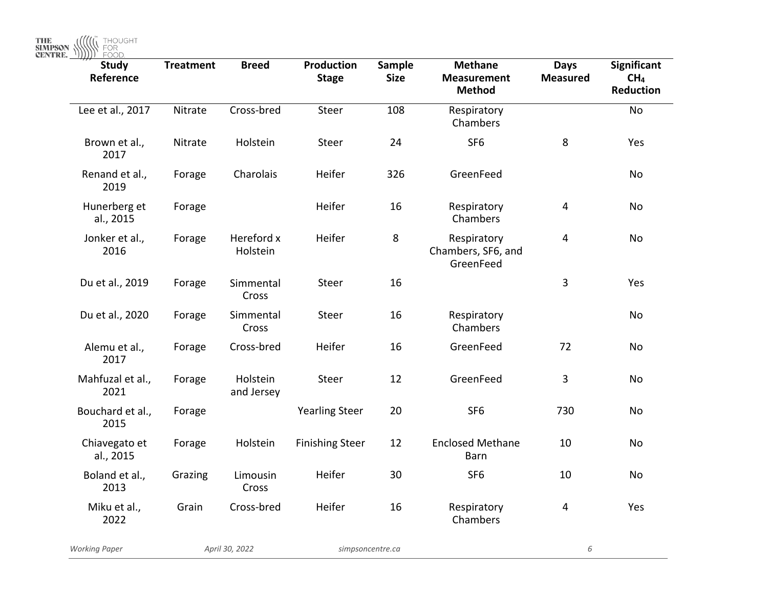THE **SIMPSON WE HOUGHT** 

| <b>Study</b><br>Reference  | <b>Treatment</b> | <b>Breed</b>           | Production<br><b>Stage</b> | Sample<br><b>Size</b> | <b>Methane</b><br><b>Measurement</b><br><b>Method</b> | <b>Days</b><br><b>Measured</b> | Significant<br>CH <sub>4</sub><br><b>Reduction</b> |
|----------------------------|------------------|------------------------|----------------------------|-----------------------|-------------------------------------------------------|--------------------------------|----------------------------------------------------|
| Lee et al., 2017           | Nitrate          | Cross-bred             | Steer                      | 108                   | Respiratory<br>Chambers                               |                                | No                                                 |
| Brown et al.,<br>2017      | Nitrate          | Holstein               | Steer                      | 24                    | SF <sub>6</sub>                                       | 8                              | Yes                                                |
| Renand et al.,<br>2019     | Forage           | Charolais              | Heifer                     | 326                   | GreenFeed                                             |                                | No                                                 |
| Hunerberg et<br>al., 2015  | Forage           |                        | Heifer                     | 16                    | Respiratory<br>Chambers                               | $\overline{4}$                 | No                                                 |
| Jonker et al.,<br>2016     | Forage           | Hereford x<br>Holstein | Heifer                     | 8                     | Respiratory<br>Chambers, SF6, and<br>GreenFeed        | $\overline{4}$                 | No                                                 |
| Du et al., 2019            | Forage           | Simmental<br>Cross     | Steer                      | 16                    |                                                       | $\overline{3}$                 | Yes                                                |
| Du et al., 2020            | Forage           | Simmental<br>Cross     | Steer                      | 16                    | Respiratory<br>Chambers                               |                                | No                                                 |
| Alemu et al.,<br>2017      | Forage           | Cross-bred             | Heifer                     | 16                    | GreenFeed                                             | 72                             | <b>No</b>                                          |
| Mahfuzal et al.,<br>2021   | Forage           | Holstein<br>and Jersey | Steer                      | 12                    | GreenFeed                                             | 3                              | No                                                 |
| Bouchard et al.,<br>2015   | Forage           |                        | <b>Yearling Steer</b>      | 20                    | SF <sub>6</sub>                                       | 730                            | No                                                 |
| Chiavegato et<br>al., 2015 | Forage           | Holstein               | <b>Finishing Steer</b>     | 12                    | <b>Enclosed Methane</b><br>Barn                       | 10                             | No                                                 |
| Boland et al.,<br>2013     | Grazing          | Limousin<br>Cross      | Heifer                     | 30                    | SF <sub>6</sub>                                       | 10                             | No                                                 |
| Miku et al.,<br>2022       | Grain            | Cross-bred             | Heifer                     | 16                    | Respiratory<br>Chambers                               | $\overline{\mathbf{4}}$        | Yes                                                |
| <b>Working Paper</b>       |                  | April 30, 2022         |                            | simpsoncentre.ca      |                                                       | 6                              |                                                    |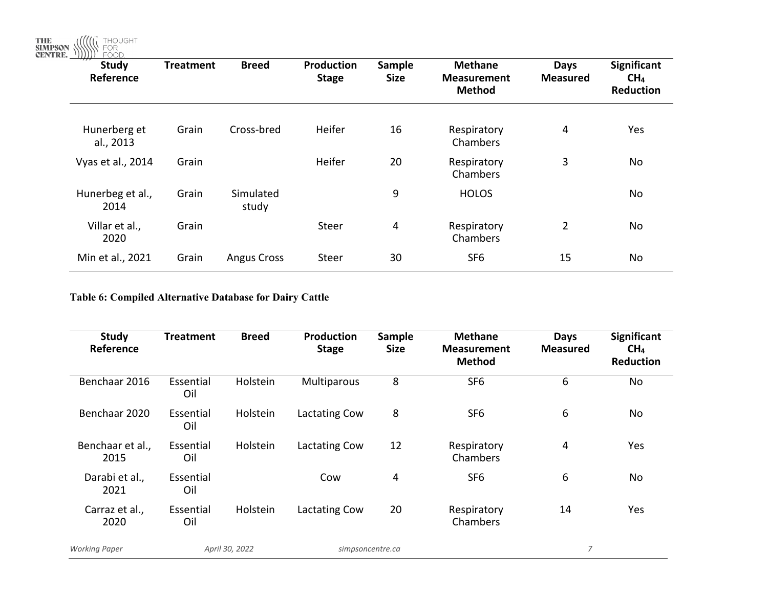THE SIMPSON WE THOUGHT

| <b>Study</b><br>Reference | <b>Treatment</b> | <b>Breed</b>       | Production<br><b>Stage</b> | Sample<br><b>Size</b> | <b>Methane</b><br><b>Measurement</b><br><b>Method</b> | <b>Days</b><br><b>Measured</b> | <b>Significant</b><br>CH <sub>4</sub><br><b>Reduction</b> |
|---------------------------|------------------|--------------------|----------------------------|-----------------------|-------------------------------------------------------|--------------------------------|-----------------------------------------------------------|
| Hunerberg et<br>al., 2013 | Grain            | Cross-bred         | Heifer                     | 16                    | Respiratory<br>Chambers                               | 4                              | Yes                                                       |
| Vyas et al., 2014         | Grain            |                    | Heifer                     | 20                    | Respiratory<br>Chambers                               | 3                              | No                                                        |
| Hunerbeg et al.,<br>2014  | Grain            | Simulated<br>study |                            | 9                     | <b>HOLOS</b>                                          |                                | No                                                        |
| Villar et al.,<br>2020    | Grain            |                    | Steer                      | 4                     | Respiratory<br>Chambers                               | $\overline{2}$                 | No                                                        |
| Min et al., 2021          | Grain            | <b>Angus Cross</b> | Steer                      | 30                    | SF <sub>6</sub>                                       | 15                             | No                                                        |

**Table 6: Compiled Alternative Database for Dairy Cattle**

| <b>Study</b><br>Reference | <b>Treatment</b> | <b>Breed</b>   | <b>Production</b><br><b>Stage</b> | <b>Sample</b><br><b>Size</b> | <b>Methane</b><br><b>Measurement</b><br><b>Method</b> | Days<br><b>Measured</b> | <b>Significant</b><br>CH <sub>4</sub><br><b>Reduction</b> |
|---------------------------|------------------|----------------|-----------------------------------|------------------------------|-------------------------------------------------------|-------------------------|-----------------------------------------------------------|
| Benchaar 2016             | Essential<br>Oil | Holstein       | Multiparous                       | 8                            | SF <sub>6</sub>                                       | 6                       | No                                                        |
| Benchaar 2020             | Essential<br>Oil | Holstein       | Lactating Cow                     | 8                            | SF <sub>6</sub>                                       | 6                       | No                                                        |
| Benchaar et al.,<br>2015  | Essential<br>Oil | Holstein       | Lactating Cow                     | 12                           | Respiratory<br>Chambers                               | 4                       | Yes                                                       |
| Darabi et al.,<br>2021    | Essential<br>Oil |                | Cow                               | 4                            | SF <sub>6</sub>                                       | 6                       | No                                                        |
| Carraz et al.,<br>2020    | Essential<br>Oil | Holstein       | Lactating Cow                     | 20                           | Respiratory<br>Chambers                               | 14                      | Yes                                                       |
| <b>Working Paper</b>      |                  | April 30, 2022 |                                   | simpsoncentre.ca             |                                                       | $\overline{7}$          |                                                           |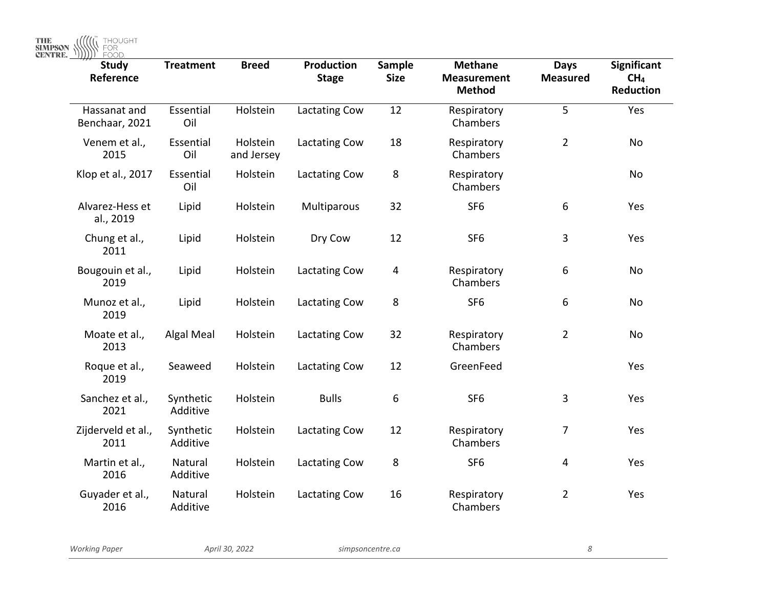THE SIMPSON WE THOUGHT

| <b>Study</b><br>Reference      | <b>Treatment</b>      | <b>Breed</b>           | <b>Production</b><br><b>Stage</b> | <b>Sample</b><br><b>Size</b> | <b>Methane</b><br><b>Measurement</b><br><b>Method</b> | <b>Days</b><br><b>Measured</b> | <b>Significant</b><br>CH <sub>4</sub><br><b>Reduction</b> |
|--------------------------------|-----------------------|------------------------|-----------------------------------|------------------------------|-------------------------------------------------------|--------------------------------|-----------------------------------------------------------|
| Hassanat and<br>Benchaar, 2021 | Essential<br>Oil      | Holstein               | Lactating Cow                     | 12                           | Respiratory<br>Chambers                               | 5                              | Yes                                                       |
| Venem et al.,<br>2015          | Essential<br>Oil      | Holstein<br>and Jersey | Lactating Cow                     | 18                           | Respiratory<br>Chambers                               | $\overline{2}$                 | No                                                        |
| Klop et al., 2017              | Essential<br>Oil      | Holstein               | Lactating Cow                     | 8                            | Respiratory<br>Chambers                               |                                | No                                                        |
| Alvarez-Hess et<br>al., 2019   | Lipid                 | Holstein               | Multiparous                       | 32                           | SF <sub>6</sub>                                       | 6                              | Yes                                                       |
| Chung et al.,<br>2011          | Lipid                 | Holstein               | Dry Cow                           | 12                           | SF <sub>6</sub>                                       | 3                              | Yes                                                       |
| Bougouin et al.,<br>2019       | Lipid                 | Holstein               | Lactating Cow                     | 4                            | Respiratory<br>Chambers                               | 6                              | No                                                        |
| Munoz et al.,<br>2019          | Lipid                 | Holstein               | Lactating Cow                     | 8                            | SF <sub>6</sub>                                       | 6                              | No                                                        |
| Moate et al.,<br>2013          | Algal Meal            | Holstein               | Lactating Cow                     | 32                           | Respiratory<br>Chambers                               | $\overline{2}$                 | No                                                        |
| Roque et al.,<br>2019          | Seaweed               | Holstein               | Lactating Cow                     | 12                           | GreenFeed                                             |                                | Yes                                                       |
| Sanchez et al.,<br>2021        | Synthetic<br>Additive | Holstein               | <b>Bulls</b>                      | 6                            | SF <sub>6</sub>                                       | 3                              | Yes                                                       |
| Zijderveld et al.,<br>2011     | Synthetic<br>Additive | Holstein               | Lactating Cow                     | 12                           | Respiratory<br>Chambers                               | 7                              | Yes                                                       |
| Martin et al.,<br>2016         | Natural<br>Additive   | Holstein               | Lactating Cow                     | 8                            | SF <sub>6</sub>                                       | 4                              | Yes                                                       |
| Guyader et al.,<br>2016        | Natural<br>Additive   | Holstein               | Lactating Cow                     | 16                           | Respiratory<br>Chambers                               | $\overline{2}$                 | Yes                                                       |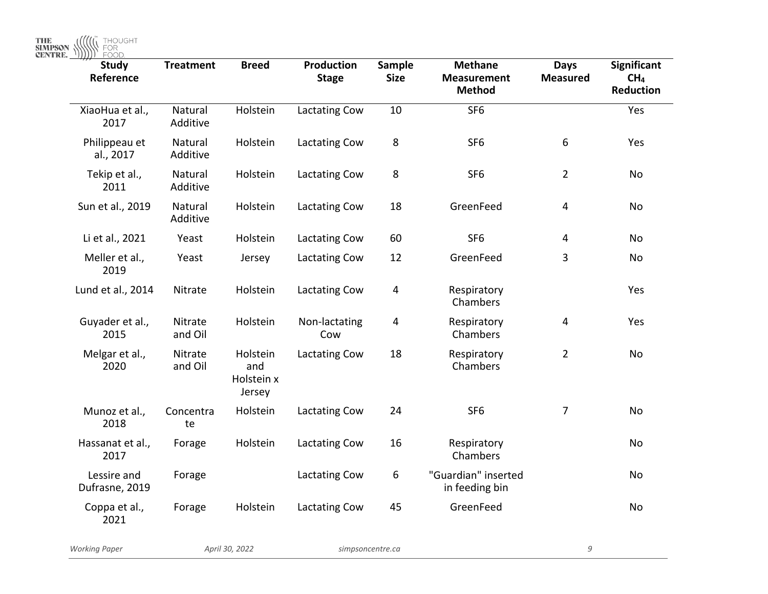| <b>Study</b><br>Reference     | <b>Treatment</b>    | <b>Breed</b>                            | <b>Production</b><br><b>Stage</b> | <b>Sample</b><br><b>Size</b> | <b>Methane</b><br><b>Measurement</b><br><b>Method</b> | <b>Days</b><br><b>Measured</b> | <b>Significant</b><br>CH <sub>4</sub><br><b>Reduction</b> |
|-------------------------------|---------------------|-----------------------------------------|-----------------------------------|------------------------------|-------------------------------------------------------|--------------------------------|-----------------------------------------------------------|
| XiaoHua et al.,<br>2017       | Natural<br>Additive | Holstein                                | Lactating Cow                     | 10                           | SF <sub>6</sub>                                       |                                | Yes                                                       |
| Philippeau et<br>al., 2017    | Natural<br>Additive | Holstein                                | Lactating Cow                     | 8                            | SF <sub>6</sub>                                       | $\boldsymbol{6}$               | Yes                                                       |
| Tekip et al.,<br>2011         | Natural<br>Additive | Holstein                                | Lactating Cow                     | 8                            | SF <sub>6</sub>                                       | $\overline{2}$                 | No                                                        |
| Sun et al., 2019              | Natural<br>Additive | Holstein                                | Lactating Cow                     | 18                           | GreenFeed                                             | 4                              | No                                                        |
| Li et al., 2021               | Yeast               | Holstein                                | Lactating Cow                     | 60                           | SF <sub>6</sub>                                       | 4                              | No                                                        |
| Meller et al.,<br>2019        | Yeast               | Jersey                                  | Lactating Cow                     | 12                           | GreenFeed                                             | 3                              | <b>No</b>                                                 |
| Lund et al., 2014             | Nitrate             | Holstein                                | Lactating Cow                     | $\overline{4}$               | Respiratory<br>Chambers                               |                                | Yes                                                       |
| Guyader et al.,<br>2015       | Nitrate<br>and Oil  | Holstein                                | Non-lactating<br>Cow              | 4                            | Respiratory<br>Chambers                               | 4                              | Yes                                                       |
| Melgar et al.,<br>2020        | Nitrate<br>and Oil  | Holstein<br>and<br>Holstein x<br>Jersey | Lactating Cow                     | 18                           | Respiratory<br>Chambers                               | $\overline{2}$                 | No                                                        |
| Munoz et al.,<br>2018         | Concentra<br>te     | Holstein                                | Lactating Cow                     | 24                           | SF <sub>6</sub>                                       | $\overline{7}$                 | No                                                        |
| Hassanat et al.,<br>2017      | Forage              | Holstein                                | Lactating Cow                     | 16                           | Respiratory<br>Chambers                               |                                | No                                                        |
| Lessire and<br>Dufrasne, 2019 | Forage              |                                         | Lactating Cow                     | 6                            | "Guardian" inserted<br>in feeding bin                 |                                | No                                                        |
| Coppa et al.,<br>2021         | Forage              | Holstein                                | Lactating Cow                     | 45                           | GreenFeed                                             |                                | <b>No</b>                                                 |
| <b>Working Paper</b>          |                     | April 30, 2022                          | simpsoncentre.ca                  |                              |                                                       | 9                              |                                                           |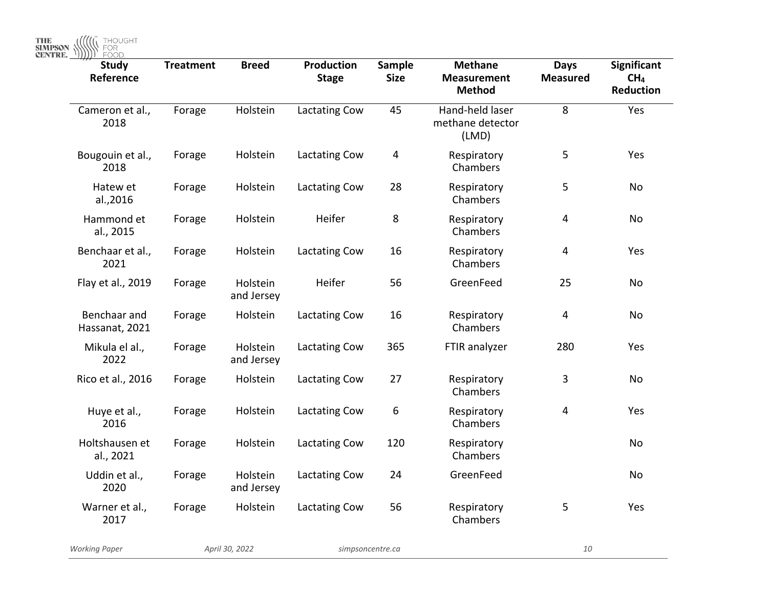THE SIMPSON WE THOUGHT

| <b>Study</b><br>Reference      | <b>Treatment</b> | <b>Breed</b>           | Production<br><b>Stage</b> | <b>Sample</b><br><b>Size</b> | <b>Methane</b><br><b>Measurement</b><br><b>Method</b> | <b>Days</b><br><b>Measured</b> | <b>Significant</b><br>CH <sub>4</sub><br>Reduction |
|--------------------------------|------------------|------------------------|----------------------------|------------------------------|-------------------------------------------------------|--------------------------------|----------------------------------------------------|
| Cameron et al.,<br>2018        | Forage           | Holstein               | Lactating Cow              | 45                           | Hand-held laser<br>methane detector<br>(LMD)          | 8                              | Yes                                                |
| Bougouin et al.,<br>2018       | Forage           | Holstein               | Lactating Cow              | 4                            | Respiratory<br>Chambers                               | 5                              | Yes                                                |
| Hatew et<br>al.,2016           | Forage           | Holstein               | Lactating Cow              | 28                           | Respiratory<br>Chambers                               | 5                              | No                                                 |
| Hammond et<br>al., 2015        | Forage           | Holstein               | Heifer                     | 8                            | Respiratory<br>Chambers                               | $\overline{4}$                 | No                                                 |
| Benchaar et al.,<br>2021       | Forage           | Holstein               | Lactating Cow              | 16                           | Respiratory<br>Chambers                               | 4                              | Yes                                                |
| Flay et al., 2019              | Forage           | Holstein<br>and Jersey | Heifer                     | 56                           | GreenFeed                                             | 25                             | No                                                 |
| Benchaar and<br>Hassanat, 2021 | Forage           | Holstein               | Lactating Cow              | 16                           | Respiratory<br>Chambers                               | $\overline{4}$                 | No                                                 |
| Mikula el al.,<br>2022         | Forage           | Holstein<br>and Jersey | Lactating Cow              | 365                          | FTIR analyzer                                         | 280                            | Yes                                                |
| Rico et al., 2016              | Forage           | Holstein               | Lactating Cow              | 27                           | Respiratory<br>Chambers                               | 3                              | No                                                 |
| Huye et al.,<br>2016           | Forage           | Holstein               | Lactating Cow              | 6                            | Respiratory<br>Chambers                               | $\overline{4}$                 | Yes                                                |
| Holtshausen et<br>al., 2021    | Forage           | Holstein               | Lactating Cow              | 120                          | Respiratory<br>Chambers                               |                                | No                                                 |
| Uddin et al.,<br>2020          | Forage           | Holstein<br>and Jersey | Lactating Cow              | 24                           | GreenFeed                                             |                                | No                                                 |
| Warner et al.,<br>2017         | Forage           | Holstein               | Lactating Cow              | 56                           | Respiratory<br>Chambers                               | 5                              | Yes                                                |
| <b>Working Paper</b>           |                  | April 30, 2022         |                            | simpsoncentre.ca             |                                                       | 10                             |                                                    |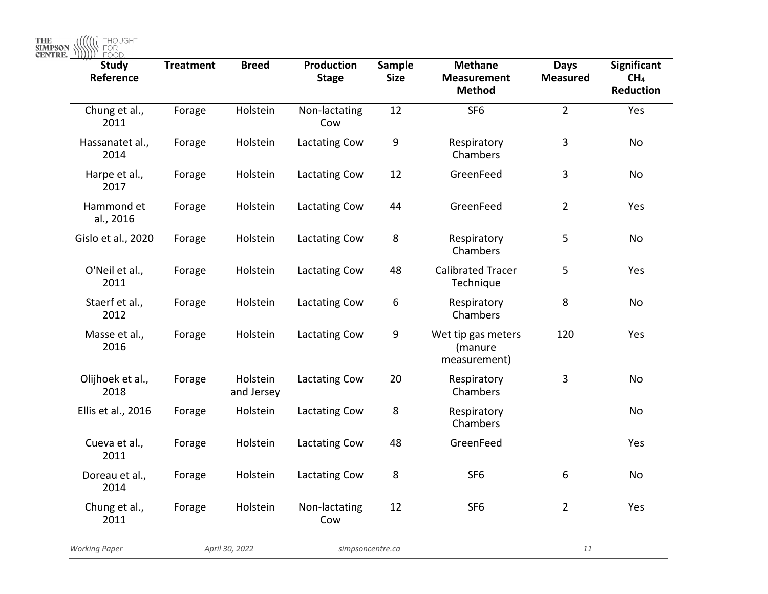THE **SIMPSON WE HOUGHT** 

| <b>Study</b><br>Reference | <b>Treatment</b> | <b>Breed</b>           | <b>Production</b><br><b>Stage</b> | <b>Sample</b><br><b>Size</b> | <b>Methane</b><br><b>Measurement</b><br><b>Method</b> | <b>Days</b><br><b>Measured</b> | <b>Significant</b><br>CH <sub>4</sub><br>Reduction |
|---------------------------|------------------|------------------------|-----------------------------------|------------------------------|-------------------------------------------------------|--------------------------------|----------------------------------------------------|
| Chung et al.,<br>2011     | Forage           | Holstein               | Non-lactating<br>Cow              | 12                           | SF <sub>6</sub>                                       | $\overline{2}$                 | Yes                                                |
| Hassanatet al.,<br>2014   | Forage           | Holstein               | Lactating Cow                     | 9                            | Respiratory<br>Chambers                               | 3                              | No                                                 |
| Harpe et al.,<br>2017     | Forage           | Holstein               | Lactating Cow                     | 12                           | GreenFeed                                             | 3                              | No                                                 |
| Hammond et<br>al., 2016   | Forage           | Holstein               | Lactating Cow                     | 44                           | GreenFeed                                             | $\overline{2}$                 | Yes                                                |
| Gislo et al., 2020        | Forage           | Holstein               | Lactating Cow                     | 8                            | Respiratory<br>Chambers                               | 5                              | No                                                 |
| O'Neil et al.,<br>2011    | Forage           | Holstein               | Lactating Cow                     | 48                           | <b>Calibrated Tracer</b><br>Technique                 | 5                              | Yes                                                |
| Staerf et al.,<br>2012    | Forage           | Holstein               | Lactating Cow                     | 6                            | Respiratory<br>Chambers                               | 8                              | No                                                 |
| Masse et al.,<br>2016     | Forage           | Holstein               | Lactating Cow                     | 9                            | Wet tip gas meters<br>(manure<br>measurement)         | 120                            | Yes                                                |
| Olijhoek et al.,<br>2018  | Forage           | Holstein<br>and Jersey | Lactating Cow                     | 20                           | Respiratory<br>Chambers                               | 3                              | No                                                 |
| Ellis et al., 2016        | Forage           | Holstein               | <b>Lactating Cow</b>              | 8                            | Respiratory<br>Chambers                               |                                | <b>No</b>                                          |
| Cueva et al.,<br>2011     | Forage           | Holstein               | <b>Lactating Cow</b>              | 48                           | GreenFeed                                             |                                | Yes                                                |
| Doreau et al.,<br>2014    | Forage           | Holstein               | Lactating Cow                     | 8                            | SF <sub>6</sub>                                       | 6                              | No                                                 |
| Chung et al.,<br>2011     | Forage           | Holstein               | Non-lactating<br>Cow              | 12                           | SF <sub>6</sub>                                       | $\overline{2}$                 | Yes                                                |
| <b>Working Paper</b>      | April 30, 2022   |                        | simpsoncentre.ca                  |                              | 11                                                    |                                |                                                    |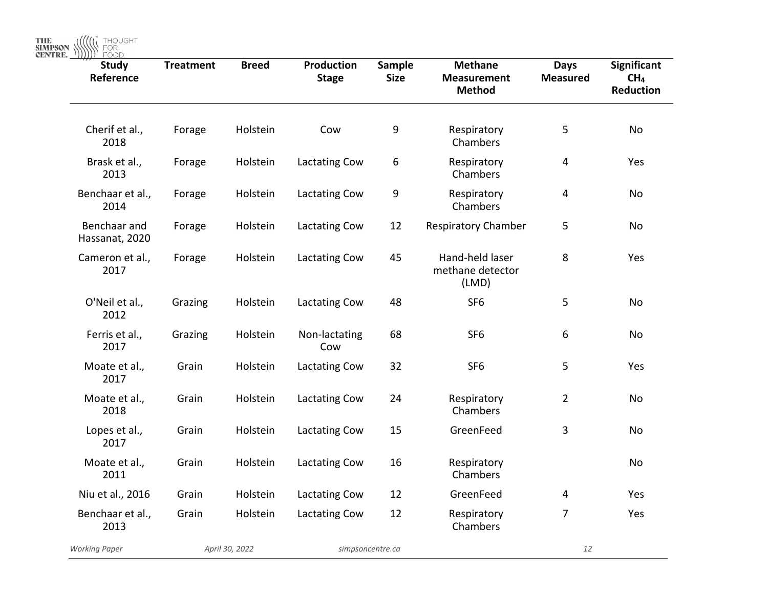| <b>Study</b><br>Reference      | <b>Treatment</b> | <b>Breed</b>   | Production<br><b>Stage</b> | Sample<br><b>Size</b> | <b>Methane</b><br><b>Measurement</b><br><b>Method</b> | <b>Days</b><br><b>Measured</b> | Significant<br>CH <sub>4</sub><br>Reduction |
|--------------------------------|------------------|----------------|----------------------------|-----------------------|-------------------------------------------------------|--------------------------------|---------------------------------------------|
| Cherif et al.,<br>2018         | Forage           | Holstein       | Cow                        | 9                     | Respiratory<br>Chambers                               | 5                              | No                                          |
| Brask et al.,<br>2013          | Forage           | Holstein       | Lactating Cow              | 6                     | Respiratory<br>Chambers                               | 4                              | Yes                                         |
| Benchaar et al.,<br>2014       | Forage           | Holstein       | Lactating Cow              | 9                     | Respiratory<br>Chambers                               | 4                              | No                                          |
| Benchaar and<br>Hassanat, 2020 | Forage           | Holstein       | Lactating Cow              | 12                    | <b>Respiratory Chamber</b>                            | 5                              | No                                          |
| Cameron et al.,<br>2017        | Forage           | Holstein       | Lactating Cow              | 45                    | Hand-held laser<br>methane detector<br>(LMD)          | 8                              | Yes                                         |
| O'Neil et al.,<br>2012         | Grazing          | Holstein       | Lactating Cow              | 48                    | SF <sub>6</sub>                                       | 5                              | No                                          |
| Ferris et al.,<br>2017         | Grazing          | Holstein       | Non-lactating<br>Cow       | 68                    | SF <sub>6</sub>                                       | 6                              | No                                          |
| Moate et al.,<br>2017          | Grain            | Holstein       | Lactating Cow              | 32                    | SF <sub>6</sub>                                       | 5                              | Yes                                         |
| Moate et al.,<br>2018          | Grain            | Holstein       | Lactating Cow              | 24                    | Respiratory<br>Chambers                               | $\overline{2}$                 | <b>No</b>                                   |
| Lopes et al.,<br>2017          | Grain            | Holstein       | <b>Lactating Cow</b>       | 15                    | GreenFeed                                             | 3                              | No                                          |
| Moate et al.,<br>2011          | Grain            | Holstein       | Lactating Cow              | 16                    | Respiratory<br>Chambers                               |                                | No                                          |
| Niu et al., 2016               | Grain            | Holstein       | Lactating Cow              | 12                    | GreenFeed                                             | 4                              | Yes                                         |
| Benchaar et al.,<br>2013       | Grain            | Holstein       | Lactating Cow              | 12                    | Respiratory<br>Chambers                               | 7                              | Yes                                         |
| <b>Working Paper</b>           |                  | April 30, 2022 |                            | simpsoncentre.ca      |                                                       | 12                             |                                             |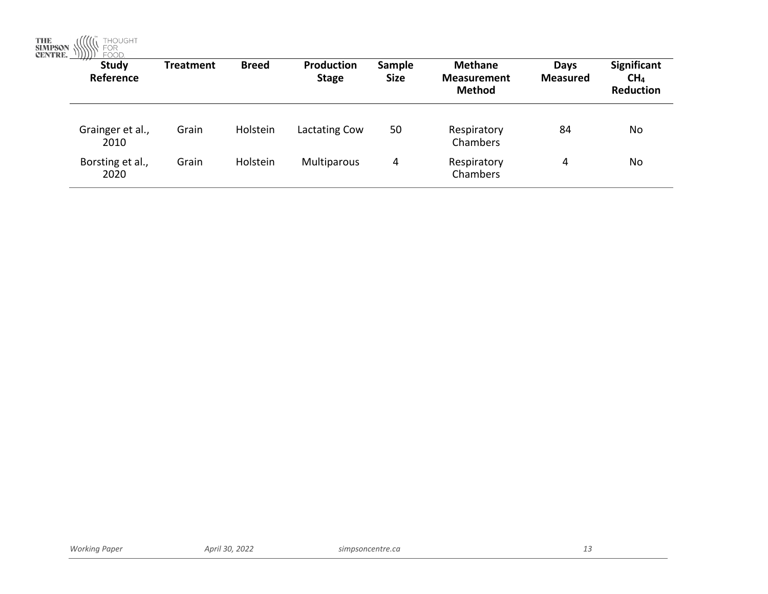THE SIMPSON WELL FOUGHT

| $\rightarrow$<br>Study<br>Reference | <b>Treatment</b> | <b>Breed</b> | <b>Production</b><br><b>Stage</b> | Sample<br><b>Size</b> | <b>Methane</b><br><b>Measurement</b><br><b>Method</b> | Days<br><b>Measured</b> | <b>Significant</b><br>CH <sub>4</sub><br><b>Reduction</b> |
|-------------------------------------|------------------|--------------|-----------------------------------|-----------------------|-------------------------------------------------------|-------------------------|-----------------------------------------------------------|
| Grainger et al.,<br>2010            | Grain            | Holstein     | Lactating Cow                     | 50                    | Respiratory<br>Chambers                               | 84                      | No                                                        |
| Borsting et al.,<br>2020            | Grain            | Holstein     | Multiparous                       | 4                     | Respiratory<br>Chambers                               | 4                       | No                                                        |